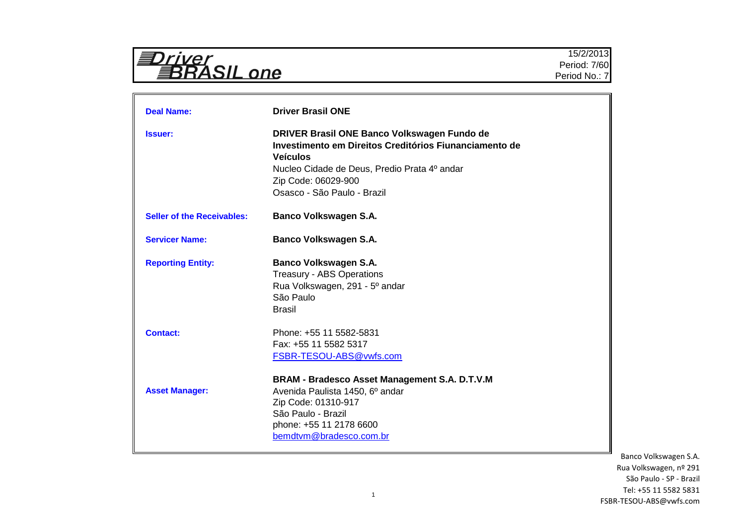| $\leftarrow$<br>YASIL.<br>p<br>$\mathbf{U}$ |
|---------------------------------------------|
|---------------------------------------------|

| <b>Deal Name:</b>                 | <b>Driver Brasil ONE</b>                                                                                                                                                                                                       |
|-----------------------------------|--------------------------------------------------------------------------------------------------------------------------------------------------------------------------------------------------------------------------------|
| <b>Issuer:</b>                    | DRIVER Brasil ONE Banco Volkswagen Fundo de<br>Investimento em Direitos Creditórios Fiunanciamento de<br><b>Veículos</b><br>Nucleo Cidade de Deus, Predio Prata 4º andar<br>Zip Code: 06029-900<br>Osasco - São Paulo - Brazil |
| <b>Seller of the Receivables:</b> | <b>Banco Volkswagen S.A.</b>                                                                                                                                                                                                   |
| <b>Servicer Name:</b>             | <b>Banco Volkswagen S.A.</b>                                                                                                                                                                                                   |
| <b>Reporting Entity:</b>          | <b>Banco Volkswagen S.A.</b><br><b>Treasury - ABS Operations</b><br>Rua Volkswagen, 291 - 5° andar<br>São Paulo<br>Brasil                                                                                                      |
| <b>Contact:</b>                   | Phone: +55 11 5582-5831<br>Fax: +55 11 5582 5317<br>FSBR-TESOU-ABS@vwfs.com                                                                                                                                                    |
| <b>Asset Manager:</b>             | BRAM - Bradesco Asset Management S.A. D.T.V.M<br>Avenida Paulista 1450, 6º andar<br>Zip Code: 01310-917<br>São Paulo - Brazil<br>phone: +55 11 2178 6600<br>bemdtvm@bradesco.com.br                                            |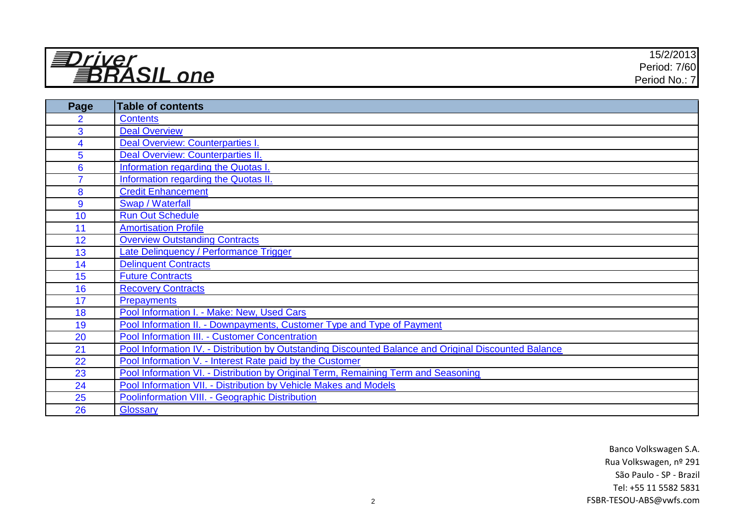| r110r                  | 15/0/0010<br>$\sim$<br>15/2/2013 <b>1</b> |
|------------------------|-------------------------------------------|
| . =<br>--<br>$\bigcap$ | Period: 7/60                              |
| n                      | -71<br>Period No.:                        |

| Page           | Table of contents                                                                                     |
|----------------|-------------------------------------------------------------------------------------------------------|
| $\overline{2}$ | <b>Contents</b>                                                                                       |
| 3              | <b>Deal Overview</b>                                                                                  |
| 4              | Deal Overview: Counterparties I.                                                                      |
| 5              | Deal Overview: Counterparties II.                                                                     |
| $6\phantom{1}$ | Information regarding the Quotas I.                                                                   |
| $\overline{7}$ | <b>Information regarding the Quotas II.</b>                                                           |
| 8              | <b>Credit Enhancement</b>                                                                             |
| 9              | Swap / Waterfall                                                                                      |
| 10             | <b>Run Out Schedule</b>                                                                               |
| 11             | <b>Amortisation Profile</b>                                                                           |
| 12             | <b>Overview Outstanding Contracts</b>                                                                 |
| 13             | Late Delinquency / Performance Trigger                                                                |
| 14             | <b>Delinquent Contracts</b>                                                                           |
| 15             | <b>Future Contracts</b>                                                                               |
| 16             | <b>Recovery Contracts</b>                                                                             |
| 17             | <b>Prepayments</b>                                                                                    |
| 18             | Pool Information I. - Make: New, Used Cars                                                            |
| 19             | Pool Information II. - Downpayments, Customer Type and Type of Payment                                |
| 20             | Pool Information III. - Customer Concentration                                                        |
| 21             | Pool Information IV. - Distribution by Outstanding Discounted Balance and Original Discounted Balance |
| 22             | Pool Information V. - Interest Rate paid by the Customer                                              |
| 23             | Pool Information VI. - Distribution by Original Term, Remaining Term and Seasoning                    |
| 24             | Pool Information VII. - Distribution by Vehicle Makes and Models                                      |
| 25             | Poolinformation VIII. - Geographic Distribution                                                       |
| 26             | Glossary                                                                                              |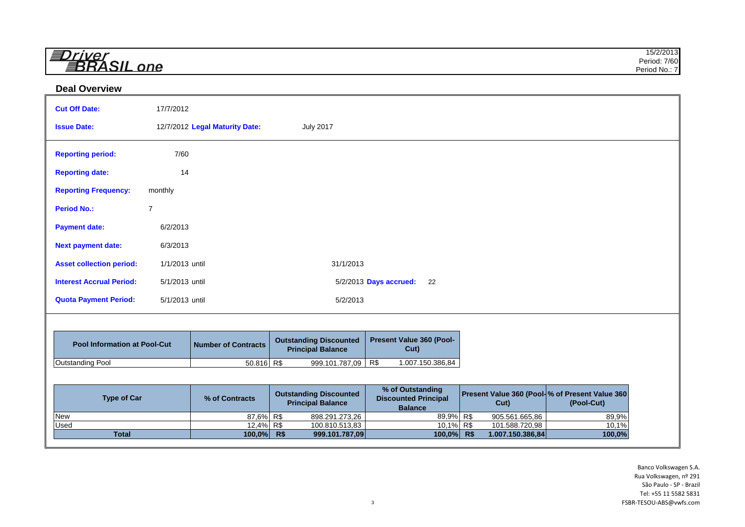| $\overline{\phantom{a}}$<br>– | 15/2/2013      |
|-------------------------------|----------------|
| _<br>- - -<br>$-$             | 7/60<br>Period |
|                               | Period No.: .  |

## **Deal Overview**

| <b>Cut Off Date:</b>                | 17/7/2012      |                                |                                                           |                                                                   |                                                         |                 |
|-------------------------------------|----------------|--------------------------------|-----------------------------------------------------------|-------------------------------------------------------------------|---------------------------------------------------------|-----------------|
| <b>Issue Date:</b>                  |                | 12/7/2012 Legal Maturity Date: | <b>July 2017</b>                                          |                                                                   |                                                         |                 |
| <b>Reporting period:</b>            | 7/60           |                                |                                                           |                                                                   |                                                         |                 |
| <b>Reporting date:</b>              | 14             |                                |                                                           |                                                                   |                                                         |                 |
| <b>Reporting Frequency:</b>         | monthly        |                                |                                                           |                                                                   |                                                         |                 |
| <b>Period No.:</b>                  | $\overline{7}$ |                                |                                                           |                                                                   |                                                         |                 |
| <b>Payment date:</b>                | 6/2/2013       |                                |                                                           |                                                                   |                                                         |                 |
| <b>Next payment date:</b>           | 6/3/2013       |                                |                                                           |                                                                   |                                                         |                 |
| <b>Asset collection period:</b>     | 1/1/2013 until |                                | 31/1/2013                                                 |                                                                   |                                                         |                 |
| <b>Interest Accrual Period:</b>     | 5/1/2013 until |                                |                                                           | 5/2/2013 Days accrued:<br>22                                      |                                                         |                 |
| <b>Quota Payment Period:</b>        | 5/1/2013 until |                                | 5/2/2013                                                  |                                                                   |                                                         |                 |
|                                     |                |                                |                                                           |                                                                   |                                                         |                 |
| <b>Pool Information at Pool-Cut</b> |                | <b>Number of Contracts</b>     | <b>Outstanding Discounted</b><br><b>Principal Balance</b> | Present Value 360 (Pool-<br>Cut)                                  |                                                         |                 |
| <b>Outstanding Pool</b>             |                | $50.816$ R\$                   | 999.101.787,09                                            | R\$<br>1.007.150.386,84                                           |                                                         |                 |
|                                     |                |                                |                                                           |                                                                   |                                                         |                 |
| <b>Type of Car</b>                  |                | % of Contracts                 | <b>Outstanding Discounted</b><br><b>Principal Balance</b> | % of Outstanding<br><b>Discounted Principal</b><br><b>Balance</b> | Present Value 360 (Pool- % of Present Value 360<br>Cut) | (Pool-Cut)      |
| New                                 |                | 87,6% R\$                      | 898.291.273,26                                            | 89,9% R\$                                                         | 905.561.665,86                                          | 89,9%           |
| Used<br><b>Total</b>                |                | $12,4\%$ R\$<br>100,0% R\$     | 100.810.513,83<br>999.101.787,09                          | 10,1% R\$<br>100,0% R\$                                           | 101.588.720,98<br>1.007.150.386,84                      | 10,1%<br>100,0% |
|                                     |                |                                |                                                           |                                                                   |                                                         |                 |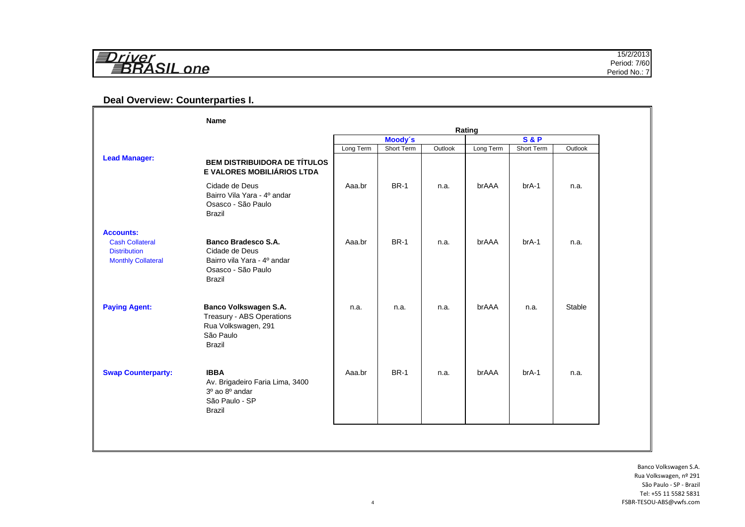| $\equiv$<br>$\cdots$ | 15/2/2013<br>. |
|----------------------|----------------|
| $-1$                 | Period: 7/60   |
| $n \Omega$           | Period No.:    |

## **Deal Overview: Counterparties I.**

|                                                                                                | <b>Name</b>                                                                                                        | Rating                    |             |         |           |            |         |
|------------------------------------------------------------------------------------------------|--------------------------------------------------------------------------------------------------------------------|---------------------------|-------------|---------|-----------|------------|---------|
|                                                                                                |                                                                                                                    | Moody's<br><b>S&amp;P</b> |             |         |           |            |         |
|                                                                                                |                                                                                                                    | Long Term                 | Short Term  | Outlook | Long Term | Short Term | Outlook |
| <b>Lead Manager:</b>                                                                           | <b>BEM DISTRIBUIDORA DE TÍTULOS</b><br>E VALORES MOBILIÁRIOS LTDA                                                  |                           |             |         |           |            |         |
|                                                                                                | Cidade de Deus<br>Bairro Vila Yara - 4º andar<br>Osasco - São Paulo<br><b>Brazil</b>                               | Aaa.br                    | <b>BR-1</b> | n.a.    | brAAA     | $brA-1$    | n.a.    |
| <b>Accounts:</b><br><b>Cash Collateral</b><br><b>Distribution</b><br><b>Monthly Collateral</b> | <b>Banco Bradesco S.A.</b><br>Cidade de Deus<br>Bairro vila Yara - 4º andar<br>Osasco - São Paulo<br><b>Brazil</b> | Aaa.br                    | <b>BR-1</b> | n.a.    | brAAA     | $brA-1$    | n.a.    |
| <b>Paying Agent:</b>                                                                           | Banco Volkswagen S.A.<br>Treasury - ABS Operations<br>Rua Volkswagen, 291<br>São Paulo<br><b>Brazil</b>            | n.a.                      | n.a.        | n.a.    | brAAA     | n.a.       | Stable  |
| <b>Swap Counterparty:</b>                                                                      | <b>IBBA</b><br>Av. Brigadeiro Faria Lima, 3400<br>3º ao 8º andar<br>São Paulo - SP<br><b>Brazil</b>                | Aaa.br                    | <b>BR-1</b> | n.a.    | brAAA     | $brA-1$    | n.a.    |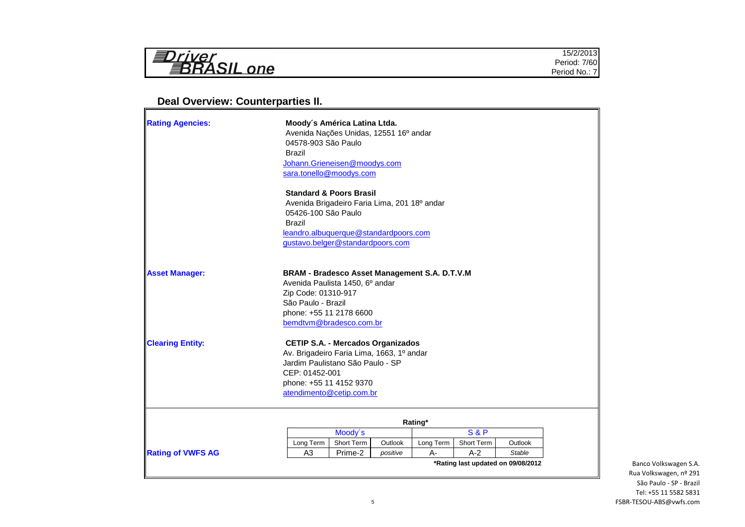| $\sqrt{ }$                 | 15/2/20         |
|----------------------------|-----------------|
| - - -<br>$n$ $\alpha$<br>= | 7/60<br>Period. |
|                            | Period No       |
|                            |                 |

## **Deal Overview: Counterparties II.**

| <b>Rating Agencies:</b>  | Moody's América Latina Ltda.<br>Avenida Nações Unidas, 12551 16º andar<br>04578-903 São Paulo<br><b>Brazil</b><br>Johann.Grieneisen@moodys.com<br>sara.tonello@moodys.com<br><b>Standard &amp; Poors Brasil</b><br>Avenida Brigadeiro Faria Lima, 201 18º andar<br>05426-100 São Paulo<br><b>Brazil</b><br>leandro.albuquerque@standardpoors.com |                       |                     |                    |                     |               |
|--------------------------|--------------------------------------------------------------------------------------------------------------------------------------------------------------------------------------------------------------------------------------------------------------------------------------------------------------------------------------------------|-----------------------|---------------------|--------------------|---------------------|---------------|
|                          | gustavo.belger@standardpoors.com                                                                                                                                                                                                                                                                                                                 |                       |                     |                    |                     |               |
| <b>Asset Manager:</b>    | BRAM - Bradesco Asset Management S.A. D.T.V.M<br>Avenida Paulista 1450, 6º andar<br>Zip Code: 01310-917<br>São Paulo - Brazil<br>phone: +55 11 2178 6600<br>bemdtvm@bradesco.com.br                                                                                                                                                              |                       |                     |                    |                     |               |
| <b>Clearing Entity:</b>  | <b>CETIP S.A. - Mercados Organizados</b><br>Av. Brigadeiro Faria Lima, 1663, 1º andar<br>Jardim Paulistano São Paulo - SP<br>CEP: 01452-001<br>phone: +55 11 4152 9370<br>atendimento@cetip.com.br                                                                                                                                               |                       |                     |                    |                     |               |
|                          |                                                                                                                                                                                                                                                                                                                                                  |                       |                     | Rating*            |                     |               |
|                          |                                                                                                                                                                                                                                                                                                                                                  | Moody's               |                     |                    | <b>S&amp;P</b>      |               |
|                          | Long Term<br>A <sub>3</sub>                                                                                                                                                                                                                                                                                                                      | Short Term<br>Prime-2 | Outlook<br>positive | Long Term<br>$A -$ | Short Term<br>$A-2$ | Outlook       |
| <b>Rating of VWFS AG</b> |                                                                                                                                                                                                                                                                                                                                                  |                       |                     |                    |                     | <b>Stable</b> |

 $\overline{\phantom{0}}$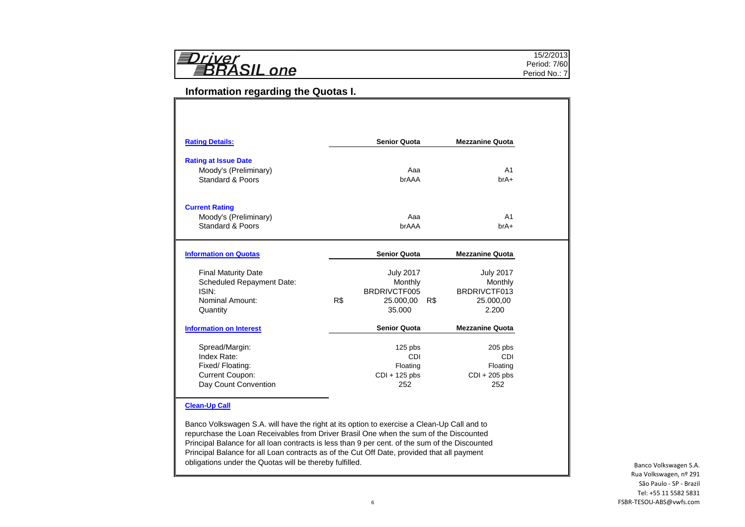|--|

## **Information regarding the Quotas I.**

| <b>Mezzanine Quota</b>                          |
|-------------------------------------------------|
|                                                 |
|                                                 |
|                                                 |
| A <sub>1</sub>                                  |
| $brA+$                                          |
|                                                 |
|                                                 |
| A <sub>1</sub>                                  |
| $hrA+$                                          |
|                                                 |
| <b>Mezzanine Quota</b>                          |
| <b>July 2017</b>                                |
| Monthly                                         |
| BRDRIVCTF013                                    |
| 25.000,00                                       |
| 2.200                                           |
| <b>Mezzanine Quota</b>                          |
|                                                 |
|                                                 |
|                                                 |
|                                                 |
| $205$ pbs<br>CDI<br>Floating<br>$CDI + 205$ pbs |
|                                                 |

#### **Clean-Up Call**

Banco Volkswagen S.A. will have the right at its option to exercise a Clean-Up Call and to repurchase the Loan Receivables from Driver Brasil One when the sum of the Discounted Principal Balance for all loan contracts is less than 9 per cent. of the sum of the Discounted Principal Balance for all Loan contracts as of the Cut Off Date, provided that all payment obligations under the Quotas will be thereby fulfilled.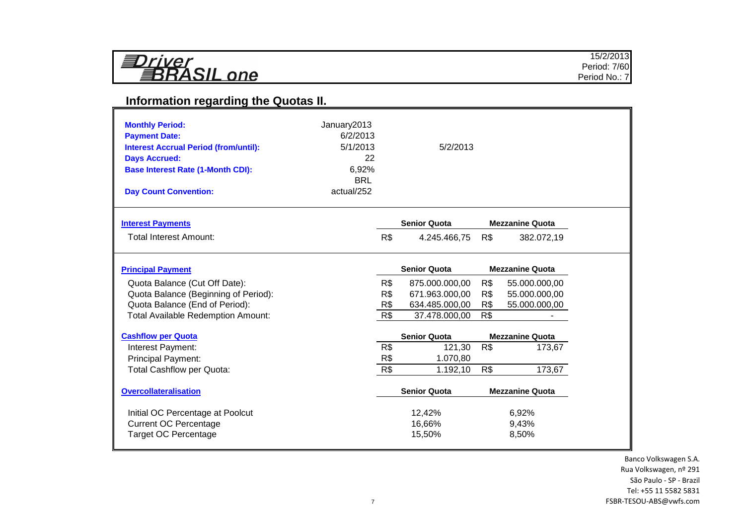| ≣Driver     |  |
|-------------|--|
| ≣BRASIL one |  |

# **Information regarding the Quotas II.**

| <b>Monthly Period:</b><br><b>Payment Date:</b><br><b>Interest Accrual Period (from/until):</b><br><b>Days Accrued:</b><br><b>Base Interest Rate (1-Month CDI):</b><br><b>Day Count Convention:</b> | January2013<br>6/2/2013<br>5/1/2013<br>22<br>6,92%<br><b>BRL</b><br>actual/252 |     | 5/2/2013            |     |                        |
|----------------------------------------------------------------------------------------------------------------------------------------------------------------------------------------------------|--------------------------------------------------------------------------------|-----|---------------------|-----|------------------------|
| <b>Interest Payments</b>                                                                                                                                                                           |                                                                                |     | <b>Senior Quota</b> |     | <b>Mezzanine Quota</b> |
| <b>Total Interest Amount:</b>                                                                                                                                                                      |                                                                                | R\$ | 4.245.466,75        | R\$ | 382.072,19             |
| <b>Principal Payment</b>                                                                                                                                                                           |                                                                                |     | <b>Senior Quota</b> |     | <b>Mezzanine Quota</b> |
| Quota Balance (Cut Off Date):                                                                                                                                                                      |                                                                                | R\$ | 875.000.000,00      | R\$ | 55.000.000,00          |
| Quota Balance (Beginning of Period):                                                                                                                                                               |                                                                                | R\$ | 671.963.000,00      | R\$ | 55.000.000,00          |
| Quota Balance (End of Period):                                                                                                                                                                     |                                                                                | R\$ | 634.485.000,00      | R\$ | 55.000.000,00          |
| <b>Total Available Redemption Amount:</b>                                                                                                                                                          |                                                                                | R\$ | 37.478.000,00       | R\$ |                        |
| <b>Cashflow per Quota</b>                                                                                                                                                                          |                                                                                |     | <b>Senior Quota</b> |     | <b>Mezzanine Quota</b> |
| Interest Payment:                                                                                                                                                                                  |                                                                                | R\$ | 121,30              | R\$ | 173,67                 |
| <b>Principal Payment:</b>                                                                                                                                                                          |                                                                                | R\$ | 1.070,80            |     |                        |
| <b>Total Cashflow per Quota:</b>                                                                                                                                                                   |                                                                                | R\$ | 1.192,10            | R\$ | 173,67                 |
| <b>Overcollateralisation</b>                                                                                                                                                                       |                                                                                |     | <b>Senior Quota</b> |     | <b>Mezzanine Quota</b> |
| Initial OC Percentage at Poolcut                                                                                                                                                                   |                                                                                |     | 12,42%              |     | 6,92%                  |
| <b>Current OC Percentage</b>                                                                                                                                                                       |                                                                                |     | 16,66%              |     | 9,43%                  |
| <b>Target OC Percentage</b>                                                                                                                                                                        |                                                                                |     | 15,50%              |     | 8,50%                  |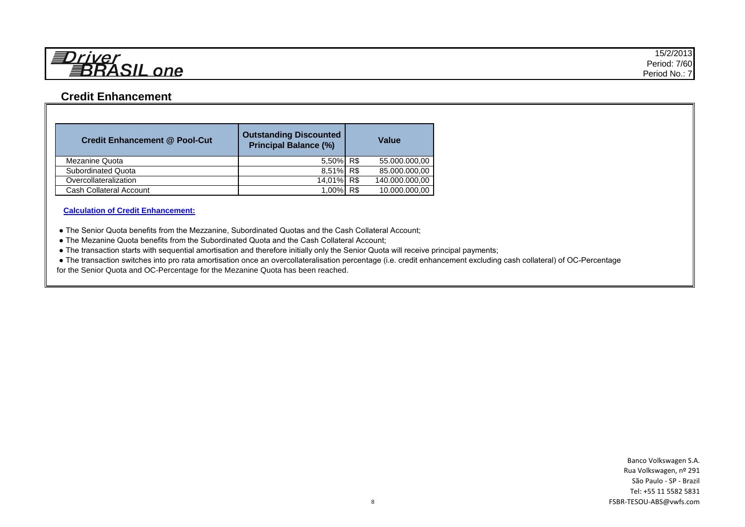

## **Credit Enhancement**

| <b>Credit Enhancement @ Pool-Cut</b> | <b>Outstanding Discounted</b><br><b>Principal Balance (%)</b> |     | <b>Value</b>   |
|--------------------------------------|---------------------------------------------------------------|-----|----------------|
| Mezanine Quota                       | 5,50% R\$                                                     |     | 55.000.000,00  |
| Subordinated Quota                   | 8,51% R\$                                                     |     | 85.000.000,00  |
| Overcollateralization                | 14,01% R\$                                                    |     | 140.000.000,00 |
| Cash Collateral Account              | $1.00\%$                                                      | R\$ | 10.000.000,00  |

**Calculation of Credit Enhancement:**

● The Senior Quota benefits from the Mezzanine, Subordinated Quotas and the Cash Collateral Account;

● The Mezanine Quota benefits from the Subordinated Quota and the Cash Collateral Account;

● The transaction starts with sequential amortisation and therefore initially only the Senior Quota will receive principal payments;

 ● The transaction switches into pro rata amortisation once an overcollateralisation percentage (i.e. credit enhancement excluding cash collateral) of OC-Percentage for the Senior Quota and OC-Percentage for the Mezanine Quota has been reached.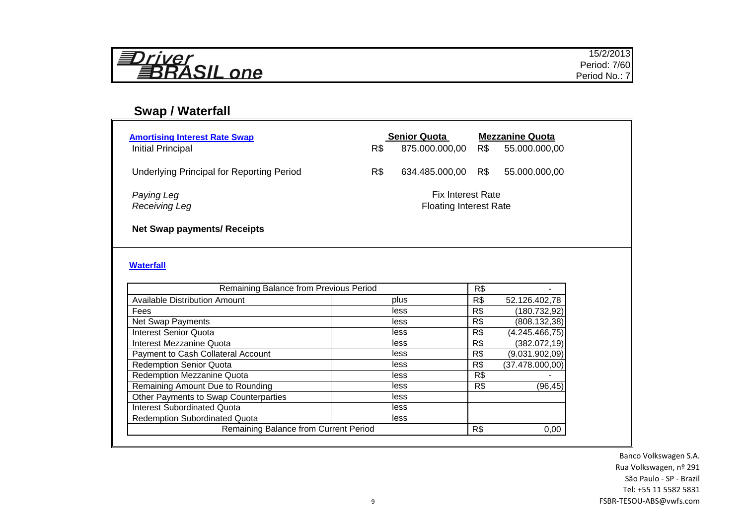| ≣Driver<br>昇RASIL one |  |
|-----------------------|--|
|-----------------------|--|

# **Swap / Waterfall**

| <b>Amortising Interest Rate Swap</b><br>Initial Principal                     | R\$ | <b>Senior Quota</b><br>875.000.000,00                     | R\$ | <b>Mezzanine Quota</b><br>55.000.000,00 |
|-------------------------------------------------------------------------------|-----|-----------------------------------------------------------|-----|-----------------------------------------|
| <b>Underlying Principal for Reporting Period</b>                              | R\$ | 634.485.000,00 R\$                                        |     | 55.000.000,00                           |
| Paying Leg<br>Receiving Leg                                                   |     | <b>Fix Interest Rate</b><br><b>Floating Interest Rate</b> |     |                                         |
| <b>Net Swap payments/ Receipts</b>                                            |     |                                                           |     |                                         |
| <b>Waterfall</b>                                                              |     |                                                           |     |                                         |
| Remaining Balance from Previous Period                                        |     |                                                           | R\$ |                                         |
| <b>Available Distribution Amount</b>                                          |     | plus                                                      | R\$ | 52.126.402,78                           |
| Fees                                                                          |     | less                                                      | R\$ | (180.732, 92)                           |
| Net Swap Payments                                                             |     | less                                                      | R\$ | (808.132,38)                            |
| <b>Interest Senior Quota</b>                                                  |     | less                                                      | R\$ | (4.245.466,75)                          |
| <b>Interest Mezzanine Quota</b>                                               |     | less                                                      | R\$ | (382.072, 19)                           |
| Payment to Cash Collateral Account                                            |     | less                                                      | R\$ | (9.031.902,09)                          |
| <b>Redemption Senior Quota</b>                                                |     | less                                                      | R\$ | (37.478.000,00)                         |
| <b>Redemption Mezzanine Quota</b>                                             |     | less                                                      | R\$ |                                         |
| Remaining Amount Due to Rounding                                              |     | less                                                      | R\$ | (96, 45)                                |
| Other Payments to Swap Counterparties                                         |     | less                                                      |     |                                         |
| <b>Interest Subordinated Quota</b>                                            |     | less                                                      |     |                                         |
| <b>Redemption Subordinated Quota</b><br>Remaining Balance from Current Period |     | less                                                      |     |                                         |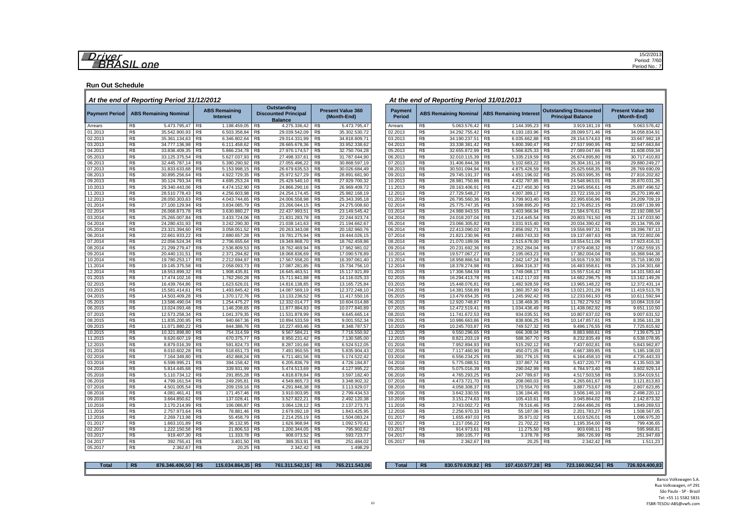#### **Run Out Schedule**

#### *At the end of Reporting Period 31/12/2012 At the end of Reporting Period 31/01/2013*

| <b>Payment Period</b> | <b>ABS Remaining Nominal</b>            |     | <b>ABS Remaining</b><br><b>Interest</b> |     | <b>Outstanding</b><br><b>Discounted Principal</b><br><b>Balance</b> |                | <b>Present Value 360</b><br>(Month-End) | <b>Payment</b><br><b>Period</b> |     | ABS Remaining Nominal ABS Remaining Interest |     |              | <b>Outstanding Discounted</b><br><b>Principal Balance</b> |     | <b>Present Value 360</b><br>(Month-End) |
|-----------------------|-----------------------------------------|-----|-----------------------------------------|-----|---------------------------------------------------------------------|----------------|-----------------------------------------|---------------------------------|-----|----------------------------------------------|-----|--------------|-----------------------------------------------------------|-----|-----------------------------------------|
| Arrears               | R\$<br>5.473.795,47                     | R\$ | 1.198.459,05                            | R\$ | 4.275.336,42                                                        | R\$            | 5.473.795,47                            | Arrears                         | R\$ | 5.063.576,42                                 | R\$ | 1.144.395,23 | R\$<br>3.919.181,19                                       | R\$ | 5.063.576,42                            |
| 01.2013               | R\$<br>35.542.900,93                    | R\$ | 6.503.358,84                            | R\$ | 29.039.542,09                                                       | R\$            | 35.302.530,72                           | 02.2013                         | R\$ | 34.292.755,42                                | R\$ | 6.193.183,96 | R\$<br>28.099.571,46                                      | R\$ | 34.058.834,91                           |
| 02.2013               | R\$<br>35.361.134,63                    | R\$ | 6.346.802,64                            | R\$ | 29.014.331,99                                                       | R\$            | 34.818.809,71                           | 03.2013                         | R\$ | 34.190.237,51                                | R\$ | 6.035.662,88 | R\$<br>28.154.574,63                                      | R\$ | 33.667.982,18                           |
| 03.2013               | R\$<br>34.777.136,98                    | R\$ | 6.111.458,62                            | R\$ | 28.665.678,36                                                       | R\$            | 33.952.338,62                           | 04.2013                         | R\$ | 33.338.381,42                                | R\$ | 5.800.390,47 | R\$<br>27.537.990,95                                      | R\$ | 32.547.663,84                           |
| 04.2013               | R\$<br>33.836.409,35                    | R\$ | 5.866.234,78                            | R\$ | 27.970.174,57                                                       | R\$            | 32.750.704,28                           | 05.2013                         | R\$ | 32.655.872,99                                | R\$ | 5.566.825,33 | R\$<br>27.089.047,66                                      | R\$ | 31.608.059,34                           |
| 05.2013               | R\$<br>33.125.375,54                    | R\$ | 5.627.037,93                            | R\$ | 27.498.337,61                                                       | R\$            | 31.787.644,90                           | 06.2013                         | R\$ | 32.010.115,39                                | R\$ | 5.335.219,59 | R\$<br>26.674.895,80                                      | R\$ | 30.717.410,83                           |
| 06.2013               | R\$<br>32.445.787,14                    | R\$ | 5.390.290,92                            | R\$ | 27.055.496,22                                                       | R\$            | 30.868.597,19                           | 07.2013                         | R\$ | 31.406.844,38                                | R\$ | 5.102.683,22 | R\$<br>26.304.161,16                                      | R\$ | 29.880.249,27                           |
| 07.2013               | R\$<br>31.833.633,68                    | R\$ | 5.153.998,15                            | R\$ | 26.679.635,53                                                       | R\$            | 30.026.684,49                           | 08.2013                         | R\$ | 30.501.094,94                                | R\$ | 4.875.426,59 | R\$<br>25.625.668,35                                      | R\$ | 28.769.690,09                           |
| 08.2013               | R\$<br>30.895.256,64                    | R\$ | 4.922.729,35                            | R\$ | 25.972.527,29                                                       | R\$            | 28.891.681,90                           | 09.2013                         | R\$ | 29.745.191,37                                | R\$ | 4.651.196,02 | 25.093.995,35<br>R\$                                      | R\$ | 27.816.202,82                           |
| 09.2013               | R\$<br>30.124.793,34                    | R\$ | 4.695.253,24                            | R\$ | 25.429.540,10                                                       | R\$            | 27.929.700.32                           | 10.2013                         | R\$ | 28.981.750,86                                | R\$ | 4.432.787,85 | R\$<br>24.548.963,01                                      | R\$ | 26.870.031,26                           |
| 10.2013               | R\$<br>29.340.443,06                    | R\$ | 4.474.152,90                            | R\$ | 24.866.290,16                                                       | R\$            | 26.969.409,72                           | 11.2013                         | R\$ | 28.163.406,91                                | R\$ | 4.217.450,30 | R\$<br>23.945.956,61                                      | R\$ | 25.887.496,52                           |
| 11.2013               | R\$<br>28.510.778,43                    | R\$ | 4.256.603,98                            | R\$ | 24.254.174,45                                                       | R\$            | 25.982.168,19                           | 12.2013                         | R\$ | 27.729.548,27                                | R\$ | 4.007.389,17 | R\$<br>23.722.159,10                                      | R\$ | 25.270.199,40                           |
| 12.2013               | $\overline{\text{RS}}$<br>28.050.303,63 | R\$ | 4.043.744,65                            | R\$ | 24.006.558,98                                                       | R\$            | 25.343.395,18                           | 01.2014                         | R\$ | 26.795.560,36                                | R\$ | 3.799.903,40 | 22.995.656,96<br>R\$                                      | R\$ | 24.209.709,19                           |
| 01.2014               | R\$<br>27.100.129,94                    | R\$ | 3.834.085,79                            | R\$ | 23.266.044,15                                                       | R\$            | 24.275.008,60                           | 02.2014                         | R\$ | 25.775.747,35                                | R\$ | 3.598.895,20 | R\$<br>22.176.852,15                                      | R\$ | 23.087.139,99                           |
| 02.2014               | R\$<br>26.068.873,78                    | R\$ | 3.630.880,27                            | R\$ | 22.437.993,51                                                       | R\$            | 23.149.545,42                           | 03.2014                         | R\$ | 24.988.943,55                                | R\$ | 3.403.966,94 | R\$<br>21.584.976,61                                      | R\$ | 22.192.088,54                           |
| 03.2014               | R\$<br>25.265.007,84                    | R\$ | 3.433.724,06                            | R\$ | 21.831.283,78                                                       | R <sub>s</sub> | 22.244.923,74                           | 04.2014                         | R\$ | 24.018.207,04                                | R\$ | 3.214.445,54 | RS<br>20.803.761,50                                       | R\$ | 21.147.033,90                           |
| 04.2014               | R\$<br>24.280.431,93                    | R\$ | 3.242.290,30                            | R\$ | 21.038.141,63                                                       | R\$            | 21.194.662,67                           | 05.2014                         | R\$ | 23.066.305,82                                | R\$ | 3.031.915,40 | R\$<br>20.034.390,42                                      | R\$ | 20.134.795,09                           |
| 05.2014               | R\$<br>23.321.394,60                    | R\$ | 3.058.051,52                            | R\$ | 20.263.343,08                                                       | R\$            | 20.182.960,76                           | 06.2014                         | R\$ | 22.413.090,02                                | R\$ | 2.856.092,71 | R\$<br>19.556.997,31                                      | R\$ | 19.396.787,13                           |
| 06.2014               | R\$<br>22.661.933.22                    | R\$ | 2.880.657.28                            | R\$ | 19.781.275,94                                                       | RS             | 19.444.026,15                           | 07.2014                         | R\$ | 21.821.230,96                                | R\$ | 2.683.743,33 | R\$<br>19.137.487,63                                      | R\$ | 18.722.802.06                           |
| 07.2014               | R\$<br>22.056.524,34                    | R\$ | 2.706.655,64                            | R\$ | 19.349.868,70                                                       | R\$            | 18.762.459,86                           | 08.2014                         | R\$ | 21.070.189,06                                | R\$ | 2.515.678,00 | R\$<br>18.554.511,06                                      | R\$ | 17.923.416,31                           |
| 08.2014               | R\$<br>21.299.279,47                    | R\$ | 2.536.809,53                            | R\$ | 18.762.469,94                                                       | R\$            | 17.962.981,02                           | 09.2014                         | R\$ | 20.231.692,36                                | R\$ | 2.352.284,04 | R\$<br>17.879.408,32                                      | R\$ | 17.062.559,15                           |
| 09.2014               | R\$<br>20.440.131,51                    | R\$ | 2.371.294,82                            | R\$ | 18.068.836,69                                                       | R\$            | 17.090.578,89                           | 10.2014                         | R\$ | 19.577.067,27                                | R\$ | 2.195.063,23 | R\$<br>17.382.004,04                                      | R\$ | 16.368.944,38                           |
| 10.2014               | R\$<br>19.780.253,17                    | R\$ | 2.212.694,97                            | R\$ | 17.567.558,20                                                       | R\$            | 16.397.061,40                           | 11.2014                         | R\$ | 18.958.866,54                                | R\$ | 2.042.147,24 | R\$<br>16.916.719,30                                      | R\$ | 15.716.190,09                           |
| 11.2014               | R\$<br>19.145.375,58                    | R\$ | 2.058.093,73                            | R\$ | 17.087.281,85                                                       | R\$            | 15.734.756,10                           | 12.2014                         | R\$ | 18.378.274,98                                | R\$ | 1.894.316,37 | R\$<br>16.483.958,61                                      | R\$ | 15.104.301,68                           |
| 12.2014               | R\$<br>18.553.899,32                    | R\$ | 1.908.435,81                            | R\$ | 16.645.463,51                                                       | R\$            | 15.117.921,89                           | 01.2015                         | R\$ | 17.306.584,59                                | R\$ | 1.749.068,17 | R\$<br>15.557.516,42                                      | R\$ | 14.101.583,44                           |
| 01.2015               | R\$<br>17.474.102,16                    | R\$ | 1.762.260,28                            | R\$ | 15.711.841,88                                                       | R\$            | 14.116.025,33                           | 02.2015                         | R\$ | 16.294.413,78                                | R\$ | 1.612.117,03 | R\$<br>14.682.296,75                                      | R\$ | 13.162.149,26                           |
| 02.2015               | R\$<br>16.439.764,86                    | R\$ | 1.623.626,01                            | R\$ | 14.816.138,85                                                       | R\$            | 13.165.725,84                           | 03.2015                         | R\$ | 15.448.076,81                                | R\$ | 1.482.928,59 | R\$<br>13.965.148,22                                      | R\$ | 12.372.431,14                           |
| 03.2015               | R\$<br>15.581.414,61                    | R\$ | 1.493.845,42                            | R\$ | 14.087.569,19                                                       | R\$            | 12.372.248,10                           | 04.2015                         | R\$ | 14.381.558,89                                | R\$ | 1.360.357,60 | R\$<br>13.021.201,29                                      | R\$ | 11.419.513,78                           |
| 04.2015               | R\$<br>14.503.409.28                    | R\$ | 1.370.172,76                            | R\$ | 13.133.236,52                                                       | R\$            | 11.417.550,16                           | 05.2015                         | R\$ | 13.479.654,35                                | R\$ | 1.245.992,42 | R\$<br>12.233.661,93                                      | R\$ | 10.611.592,94                           |
| 05.2015               | R\$<br>13.586.490,04                    | R\$ | 1.254.475,27                            | R\$ | 12.332.014,77                                                       | R\$            | 10.604.014,88                           | 06.2015                         | R\$ | 12.920.748,87                                | R\$ | 1.138.469,35 | R\$<br>11.782.279,52                                      | R\$ | 10.084.319,04                           |
| 06.2015               | R\$<br>13.024.093,48                    | R\$ | 1.146.208,65                            | R\$ | 11.877.884,83                                                       | R\$            | 10.077.840,89                           | 07.2015                         | R\$ | 12.472.519,41                                | R\$ | 1.034.436,49 | 11.438.082,92<br>R\$                                      | R\$ | 9.651.110,50                            |
| 07.2015               | R\$<br>12.573.258,34                    | R\$ | 1.041.379,35                            | RS  | 11.531.878,99                                                       | RS             | 9.645.665,14                            | 08.2015                         | R\$ | 11.741.672,53                                | R\$ | 934.035,51   | R\$<br>10.807.637,02                                      | R\$ | 9.007.631,52                            |
| 08.2015               | R\$<br>11.835.200.95                    | R\$ | 940.667.36                              | R\$ | 10.894.533,59                                                       | R\$            | 9.001.552,34                            | 09.2015                         | R\$ | 10.986.663,86                                | R\$ | 838.806,25   | R <sub>s</sub><br>10.147.857,61                           | R\$ | 8.356.161,28                            |
| 09.2015               | R\$<br>11.071.880,22                    | R\$ | 844.386,76                              | R\$ | 10.227.493,46                                                       | R\$            | 8.348.787,57                            | 10.2015                         | R\$ | 10.245.703,87                                | R\$ | 749.527,32   | R\$<br>9.496.176,55                                       | R\$ | 7.725.815,92                            |
| 10.2015               | R\$<br>10.321.898,80                    | R\$ | 754.314,59                              | R\$ | 9.567.584,21                                                        | R\$            | 7.716.550,92                            | 11.2015                         | R\$ | 9.550.296,65                                 | R\$ | 666.308,04   | R\$<br>8.883.988,61                                       | R\$ | 7.139.675,13                            |
| 11.2015               | R\$<br>9.620.607,19                     | R\$ | 670.375,77                              | R\$ | 8.950.231,42                                                        | R\$            | 7.130.585,00                            | 12.2015                         | R\$ | 8.821.203,19                                 | R\$ | 588.367,70   | R\$<br>8.232.835,49                                       | R\$ | 6.538.078,95                            |
| 12.2015               | R\$<br>8.879.016,39                     | R\$ | 591.824,73                              | R\$ | 8.287.191,66                                                        | R\$            | 6.524.512,05                            | 01.2016                         | R\$ | 7.952.894,93                                 | R\$ | 515.292,12   | R\$<br>7.437.602,81                                       | R\$ | 5.843.962,87                            |
| 01.2016               | R\$<br>8.010.602,28                     | R\$ | 518.651,73                              | R\$ | 7.491.950,55                                                        | R\$            | 5.835.904,43                            | 02.2016                         | R\$ | 7.117.460,90                                 | R\$ | 450.071,05   | R\$<br>6.667.389,85                                       | R\$ | 5.185.108,03                            |
| 02.2016               | R\$<br>7.164.349,80                     | R\$ | 452.868,24                              | R\$ | 6.711.481,56                                                        | R\$            | 5.174.522,42                            | 03.2016                         | R\$ | 6.556.234,25                                 | R\$ | 391.776,15   | R\$<br>6.164.458,10                                       | R\$ | 4.735.443,33                            |
| 03.2016               | R\$<br>6.599.995,21                     | R\$ | 394.158,42                              | R\$ | 6.205.836,79                                                        | R\$            | 4.726.184,87                            | 04.2016                         | R\$ | 5.775.088,51                                 | R\$ | 337.867,74   | R\$<br>5.437.220,77                                       | R\$ | 4.135.503,38                            |
| 04.2016               | R\$<br>5.814.445,68                     | R\$ | 339.931,99                              | R\$ | 5.474.513,69                                                        | R\$            | 4.127.995,22                            | 05.2016                         | R\$ | 5.075.016,39                                 | R\$ | 290.042,99   | R\$<br>4.784.973,40                                       | R\$ | 3.602.929,14                            |
| 05.2016               | R\$<br>5.110.734,12                     | R\$ | 291.855,28                              | R\$ | 4.818.878,84                                                        | R\$            | 3.597.182,40                            | 06.2016                         | R\$ | 4.765.293,25                                 | R\$ | 247.789,67   | R\$<br>4.517.503,58                                       | R\$ | 3.354.019,51                            |
| 06.2016               | R\$<br>4.799.161,54                     | R\$ | 249.295,81                              | R\$ | 4.549.865,73                                                        | R\$            | 3.348.902,32                            | 07.2016                         | R\$ | 4.473.721,70                                 | R\$ | 208.060,03   | R\$<br>4.265.661,67                                       | R\$ | 3.121.813,83                            |
| 07.2016               | R\$<br>4.501.005,54                     | R\$ | 209.159,16                              | R\$ | 4.291.846,38                                                        | R\$            | 3.113.929,07                            | 08.2016                         | R\$ | 4.058.308,37                                 | R\$ | 170.554,70   | R\$<br>3.887.753,67                                       | R\$ | 2.807.623,85                            |
| 08.2016               | R\$<br>4.081.461,41                     | R\$ | 171.457,46                              | R\$ | 3.910.003,95                                                        | R\$            | 2.799.434,53                            | 09.2016                         | R\$ | 3.642.330,55                                 | R\$ | 136.184,45   | R\$<br>3.506.146,10                                       | R\$ | 2.498.220,12                            |
| 09.2016               | R\$<br>3.664.850,62                     | R\$ | 137.028,41                              | R\$ | 3.527.822,21                                                        | R\$            | 2.492.120,38                            | 10.2016                         | R\$ | 3.151.274,63                                 | R\$ | 105.410,61   | R\$<br>3.045.864,02                                       | R\$ | 2.142.873,32                            |
| 10.2016               | R\$<br>3.170.214,99                     | R\$ | 106.086.87                              | R\$ | 3.064.128.12                                                        | R\$            | 2.137.273,71                            | 11.2016                         | R\$ | 2.743.002,72                                 | R\$ | 78.516,46    | R\$<br>2.664.486,26                                       | R\$ | 1.849.269,53                            |
| 11.2016               | R\$<br>2.757.973,64                     | R\$ | 78.881,46                               | R\$ | 2.679.092,18                                                        | R\$            | 1.843.425,95                            | 12.2016                         | R\$ | 2.256.970,33                                 | R\$ | 55.187,06    | R\$<br>2.201.783,27                                       | R\$ | 1.508.567,05                            |
| 12.2016               | R\$<br>2.269.713,98                     | R\$ | 55.458,79                               | R\$ | 2.214.255,19                                                        | R\$            | 1.504.083,24                            | 01.2017                         | R\$ | 1.655.497,03                                 | R\$ | 35.971,02    | R\$<br>1.619.526,01                                       | R\$ | 1.096.975,20                            |
| 01.2017               | R\$<br>1.663.101,89                     | R\$ | 36.132.95                               | R\$ | 1.626.968.94                                                        | R\$            | 1.092.570,41                            | 02.2017                         | R\$ | 1.217.056,22                                 | R\$ | 21.702,22    | R\$<br>1.195.354,00                                       | R\$ | 799.436,65                              |
| 02.2017               | R\$<br>1.222.150,58                     | R\$ | 21.806,53                               | R\$ | 1.200.344,05                                                        | R\$            | 795.902,62                              | 03.2017                         | R\$ | 914.973,61                                   | R\$ | 11.275,50    | R\$<br>903.698,11                                         | R\$ | 595.968,81                              |
| 03.2017               | R\$<br>919.407,30                       | R\$ | 11.333,78                               | R\$ | 908.073,52                                                          | R\$            | 593.723,77                              | 04.2017                         | R\$ | 390.105,77                                   | R\$ | 3.378,78     | R\$<br>386.726,99                                         | R\$ | 251.947,69                              |
| 04.2017               | R\$<br>392.755,41                       | R\$ | 3.401.50                                | R\$ | 389.353,91                                                          | R\$            | 251.484,02                              | 05.2017                         | R\$ | 2.362.67                                     | R\$ | 20,25        | R\$<br>2.342,42                                           | R\$ | 1.511,23                                |
| 05.2017               | R\$<br>2.362,67                         | R\$ | 20,25                                   | R\$ | 2.342,42                                                            | R\$            | 1.498,29                                |                                 |     |                                              |     |              |                                                           |     |                                         |

| Payment<br><b>Period</b> |                | <b>ABS Remaining Nominal</b> |     | <b>ABS Remaining Interest</b> |     | <b>Outstanding Discounted</b><br><b>Principal Balance</b> |      | <b>Present Value 360</b><br>(Month-End) |
|--------------------------|----------------|------------------------------|-----|-------------------------------|-----|-----------------------------------------------------------|------|-----------------------------------------|
| Arrears                  | R\$            | 5.063.576,42                 | R\$ | 1.144.395,23                  | R\$ | 3.919.181,19                                              | R\$  | 5.063.576,42                            |
| 02.2013                  | R\$            | 34.292.755,42                | R\$ | 6.193.183,96                  | R\$ | 28.099.571,46                                             | R\$  | 34.058.834,91                           |
| 03.2013                  | R\$            | 34.190.237,51                | R\$ | 6.035.662.88                  | R\$ | 28.154.574,63                                             | R\$  | 33.667.982,18                           |
| 04.2013                  | R\$            | 33.338.381,42                | R\$ | 5.800.390,47                  | R\$ | 27.537.990,95                                             | R\$  | 32.547.663,84                           |
| 05.2013                  | R <sub>s</sub> | 32.655.872,99                | R\$ | 5.566.825,33                  | R\$ | 27.089.047,66                                             | R\$  | 31.608.059,34                           |
| 06.2013                  | R\$            | 32.010.115,39                | R\$ | 5.335.219,59                  | R\$ | 26.674.895,80                                             | R\$  | 30.717.410,83                           |
| 07.2013                  | R\$            | 31.406.844,38                | R\$ | 5.102.683,22                  | R\$ | 26.304.161,16                                             | R\$  | 29.880.249,27                           |
| 08.2013                  | R\$            | 30.501.094,94                | R\$ | 4.875.426,59                  | R\$ | 25.625.668,35                                             | R\$  | 28.769.690,09                           |
| 09.2013                  | R\$            | 29.745.191,37                | R\$ | 4.651.196,02                  | R\$ | 25.093.995,35                                             | $R\$ | 27.816.202,82                           |
| 10.2013                  | R\$            | 28.981.750,86                | R\$ | 4.432.787,85                  | R\$ | 24.548.963,01                                             | R\$  | 26.870.031,26                           |
| 11.2013                  | R\$            | 28.163.406,91                | R\$ | 4.217.450,30                  | R\$ | 23.945.956,61                                             | R\$  | 25.887.496,52                           |
| 12.2013                  | R\$            | 27.729.548,27                | R\$ | 4.007.389,17                  | R\$ | 23.722.159,10                                             | R\$  | 25.270.199,40                           |
| 01.2014                  | R\$            | 26.795.560,36                | R\$ | 3.799.903,40                  | R\$ | 22.995.656,96                                             | R\$  | 24.209.709,19                           |
| 02.2014                  | R\$            | 25.775.747,35                | R\$ | 3.598.895,20                  | R\$ | 22.176.852,15                                             | R\$  | 23.087.139,99                           |
| 03.2014                  | R\$            | 24.988.943,55                | R\$ | 3.403.966,94                  | R\$ | 21.584.976,61                                             | R\$  | 22.192.088,54                           |
| 04.2014                  | R\$            | 24.018.207,04                | R\$ | 3.214.445,54                  | R\$ | 20.803.761,50                                             | R\$  | 21.147.033,90                           |
| 05.2014                  | R\$            | 23.066.305,82                | R\$ | 3.031.915,40                  | R\$ | 20.034.390.42                                             | R\$  | 20.134.795,09                           |
| 06.2014                  | R\$            | 22.413.090,02                | R\$ | 2.856.092,71                  | R\$ | 19.556.997,31                                             | R\$  | 19.396.787,13                           |
| 07.2014                  | R\$            | 21.821.230,96                | R\$ | 2.683.743,33                  | R\$ | 19.137.487,63                                             | R\$  | 18.722.802,06                           |
| 08.2014                  | R\$            | 21.070.189,06                | R\$ | 2.515.678,00                  | R\$ | 18.554.511,06                                             | R\$  | 17.923.416,31                           |
|                          | R\$            |                              |     |                               | R\$ |                                                           | R\$  |                                         |
| 09.2014                  |                | 20.231.692,36                | R\$ | 2.352.284,04                  |     | 17.879.408,32                                             |      | 17.062.559,15                           |
| 10.2014                  | R\$            | 19.577.067,27                | R\$ | 2.195.063,23                  | R\$ | 17.382.004,04                                             | R\$  | 16.368.944,38                           |
| 11.2014                  | R\$            | 18.958.866,54                | R\$ | 2.042.147,24                  | R\$ | 16.916.719,30                                             | R\$  | 15.716.190,09                           |
| 12.2014                  | R\$            | 18.378.274,98                | R\$ | 1.894.316,37                  | R\$ | 16.483.958,61                                             | R\$  | 15.104.301,68                           |
| 01.2015                  | R\$            | 17.306.584,59                | R\$ | 1.749.068,17                  | R\$ | 15.557.516,42                                             | R\$  | 14.101.583,44                           |
| 02.2015                  | R\$            | 16.294.413,78                | R\$ | 1.612.117,03                  | R\$ | 14.682.296,75                                             | R\$  | 13.162.149,26                           |
| 03.2015                  | R\$            | 15.448.076,81                | R\$ | 1.482.928,59                  | R\$ | 13.965.148,22                                             | R\$  | 12.372.431,14                           |
| 04.2015                  | R\$            | 14.381.558,89                | R\$ | 1.360.357,60                  | R\$ | 13.021.201,29                                             | R\$  | 11.419.513,78                           |
| 05.2015                  | R\$            | 13.479.654,35                | R\$ | 1.245.992,42                  | R\$ | 12.233.661,93                                             | R\$  | 10.611.592,94                           |
| 06.2015                  | R\$            | 12.920.748,87                | R\$ | 1.138.469,35                  | R\$ | 11.782.279,52                                             | R\$  | 10.084.319,04                           |
| 07.2015                  | R\$            | 12.472.519,41                | R\$ | 1.034.436,49                  | R\$ | 11.438.082,92                                             | R\$  | 9.651.110,50                            |
| 08.2015                  | R\$            | 11.741.672,53                | R\$ | 934.035,51                    | R\$ | 10.807.637,02                                             | R\$  | 9.007.631,52                            |
| 09.2015                  | R\$            | 10.986.663,86                | R\$ | 838.806,25                    | R\$ | 10.147.857,61                                             | R\$  | 8.356.161,28                            |
| 10.2015                  | R\$            | 10.245.703,87                | R\$ | 749.527,32                    | R\$ | 9.496.176,55                                              | R\$  | 7.725.815,92                            |
| 11.2015                  | R\$            | 9.550.296,65                 | R\$ | 666.308,04                    | R\$ | 8.883.988,61                                              | R\$  | 7.139.675,13                            |
| 12.2015                  | R\$            | 8.821.203,19                 | R\$ | 588.367,70                    | R\$ | 8.232.835,49                                              | R\$  | 6.538.078,95                            |
| 01.2016                  | R\$            | 7.952.894,93                 | R\$ | 515.292,12                    | R\$ | 7.437.602,81                                              | R\$  | 5.843.962,87                            |
| 02.2016                  | R\$            | 7.117.460,90                 | R\$ | 450.071,05                    | R\$ | 6.667.389,85                                              | R\$  | 5.185.108,03                            |
| 03.2016                  | R\$            | 6.556.234,25                 | R\$ | 391.776,15                    | R\$ | 6.164.458,10                                              | R\$  | 4.735.443,33                            |
| 04.2016                  | R\$            | 5.775.088,51                 | R\$ | 337.867,74                    | R\$ | 5.437.220,77                                              | R\$  | 4.135.503,38                            |
| 05.2016                  | R\$            | 5.075.016,39                 | R\$ | 290.042,99                    | R\$ | 4.784.973,40                                              | R\$  | 3.602.929,14                            |
| 06.2016                  | R\$            | 4.765.293,25                 | R\$ | 247.789,67                    | R\$ | 4.517.503,58                                              | R\$  | 3.354.019,51                            |
| 07.2016                  | R\$            | 4.473.721,70                 | R\$ | 208.060,03                    | R\$ | 4.265.661,67                                              | R\$  | 3.121.813,83                            |
| 08.2016                  | R\$            | 4.058.308,37                 | R\$ | 170.554,70                    | R\$ | 3.887.753,67                                              | R\$  | 2.807.623,85                            |
| 09.2016                  | R\$            | 3.642.330,55                 | R\$ | 136.184,45                    | R\$ | 3.506.146,10                                              | R\$  | 2.498.220,12                            |
| 10.2016                  | R\$            | 3.151.274,63                 | R\$ | 105.410,61                    | R\$ | 3.045.864,02                                              | R\$  | 2.142.873,32                            |
| 11.2016                  | R\$            | 2.743.002,72                 | R\$ | 78.516,46                     | R\$ | 2.664.486,26                                              | R\$  | 1.849.269,53                            |
| 12.2016                  | R\$            | 2.256.970,33                 | R\$ | 55.187,06                     | R\$ | 2.201.783,27                                              | R\$  | 1.508.567,05                            |
| 01.2017                  | R\$            | 1.655.497,03                 | R\$ | 35.971,02                     | R\$ | 1.619.526,01                                              | R\$  | 1.096.975,20                            |
| 02.2017                  | R\$            | 1.217.056,22                 | R\$ | 21.702,22                     | R\$ | 1.195.354,00                                              | R\$  | 799.436,65                              |
| 03.2017                  |                |                              |     |                               |     |                                                           |      |                                         |
|                          | R\$            | 914.973,61                   | R\$ | 11.275,50                     | R\$ | 903.698,11                                                | R\$  | 595.968,81                              |
| 04.2017                  | R\$            | 390.105,77                   | R\$ | 3.378,78                      | R\$ | 386.726,99                                                | R\$  | 251.947,69                              |
| 05.2017                  | R\$            | 2.362,67                     | R\$ | 20,25                         | R\$ | 2.342,42                                                  | R\$  | 1.511,23                                |

**Total R\$ 876.346.406,50 R\$ 115.034.864,35 R\$ 761.311.542,15 R\$ 765.211.543,06 Total R\$ 830.570.639,82 R\$ 107.410.577,28 R\$ 723.160.062,54 R\$ 726.924.400,83**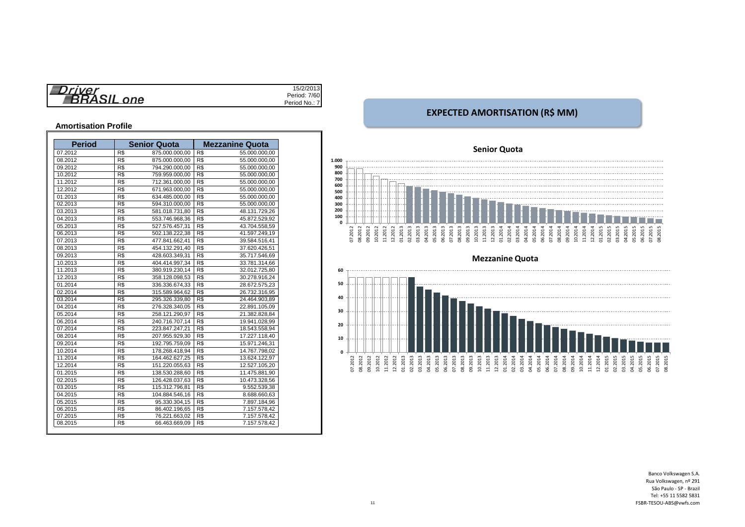|                   | 13 <sup>1</sup><br>15/2/20 |
|-------------------|----------------------------|
| $r$ iver          |                            |
| one<br><u>тда</u> | Period: 7/60               |
|                   | Period No.:                |

#### **Amortisation Profile**

| <b>Period</b> |     | <b>Senior Quota</b> | <b>Mezzanine Quota</b> |               |  |  |  |
|---------------|-----|---------------------|------------------------|---------------|--|--|--|
| 07.2012       | R\$ | 875.000.000,00      | R\$                    | 55.000.000,00 |  |  |  |
| 08.2012       | R\$ | 875.000.000,00      | R\$                    | 55.000.000,00 |  |  |  |
| 09.2012       | R\$ | 794.290.000.00      | R\$                    | 55.000.000,00 |  |  |  |
| 10.2012       | R\$ | 759.959.000,00      | R\$                    | 55.000.000,00 |  |  |  |
| 11.2012       | R\$ | 712.361.000,00      | R\$                    | 55.000.000,00 |  |  |  |
| 12.2012       | R\$ | 671.963.000.00      | R\$                    | 55.000.000.00 |  |  |  |
| 01.2013       | R\$ | 634.485.000,00      | R\$                    | 55.000.000,00 |  |  |  |
| 02.2013       | R\$ | 594.310.000,00      | R\$                    | 55.000.000,00 |  |  |  |
| 03.2013       | R\$ | 581.018.731,80      | R\$                    | 48.131.729,26 |  |  |  |
| 04.2013       | R\$ | 553.746.968,36      | R\$                    | 45.872.529,92 |  |  |  |
| 05.2013       | R\$ | 527.576.457,31      | R\$                    | 43.704.558,59 |  |  |  |
| 06.2013       | R\$ | 502.138.222,38      | R\$                    | 41.597.249,19 |  |  |  |
| 07.2013       | R\$ | 477.841.662.41      | R\$                    | 39.584.516.41 |  |  |  |
| 08.2013       | R\$ | 454.132.291,40      | R\$                    | 37.620.426,51 |  |  |  |
| 09.2013       | R\$ | 428.603.349,31      | R\$                    | 35.717.546,69 |  |  |  |
| 10.2013       | R\$ | 404.414.997,34      | R\$                    | 33.781.314,66 |  |  |  |
| 11.2013       | R\$ | 380.919.230,14      | R\$                    | 32.012.725,80 |  |  |  |
| 12.2013       | R\$ | 358.128.098,53      | R\$                    | 30.278.916,24 |  |  |  |
| 01.2014       | R\$ | 336.336.674,33      | R\$                    | 28.672.575,23 |  |  |  |
| 02.2014       | R\$ | 315.589.964,62      | R\$                    | 26.732.316,95 |  |  |  |
| 03.2014       | R\$ | 295.326.339.80      | R\$                    | 24.464.903.89 |  |  |  |
| 04.2014       | R\$ | 276.328.340,05      | R\$                    | 22.891.105,09 |  |  |  |
| 05.2014       | R\$ | 258.121.290,97      | R\$                    | 21.382.828,84 |  |  |  |
| 06.2014       | R\$ | 240.716.707,14      | R\$                    | 19.941.028,99 |  |  |  |
| 07.2014       | R\$ | 223.847.247,21      | R\$                    | 18.543.558,94 |  |  |  |
| 08.2014       | R\$ | 207.955.929.30      | R\$                    | 17.227.118.40 |  |  |  |
| 09.2014       | R\$ | 192.795.759,09      | R\$                    | 15.971.246,31 |  |  |  |
| 10.2014       | R\$ | 178.268.418,94      | R\$                    | 14.767.798,02 |  |  |  |
| 11.2014       | R\$ | 164.462.627,25      | R\$                    | 13.624.122,97 |  |  |  |
| 12.2014       | R\$ | 151.220.055,63      | R\$                    | 12.527.105,20 |  |  |  |
| 01.2015       | R\$ | 138.530.288,60      | R\$                    | 11.475.881,90 |  |  |  |
| 02.2015       | R\$ | 126.428.037,63      | R\$                    | 10.473.328,56 |  |  |  |
| 03.2015       | R\$ | 115.312.796.81      | R\$                    | 9.552.539,38  |  |  |  |
| 04.2015       | R\$ | 104.884.546.16      | R\$                    | 8.688.660,63  |  |  |  |
| 05.2015       | R\$ | 95.330.304,15       | R\$                    | 7.897.184,96  |  |  |  |
| 06.2015       | R\$ | 86.402.196,65       | R\$                    | 7.157.578,42  |  |  |  |
| 07.2015       | R\$ | 76.221.663,02       | R\$                    | 7.157.578,42  |  |  |  |
| 08.2015       | R\$ | 66.463.669,09       | R\$                    | 7.157.578,42  |  |  |  |

## **EXPECTED AMORTISATION (R\$ MM)**

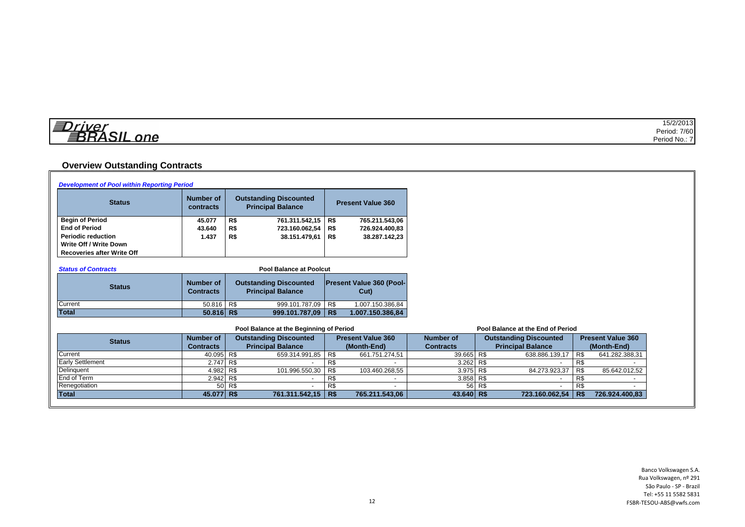| 僵<br>$r$ $n \alpha r$ | 5/2/2013     |
|-----------------------|--------------|
| $\sim$ $\sim$         | Period: 7/60 |
| one<br>-<br>_         | Period No.:. |

## **Overview Outstanding Contracts**

| <b>Development of Pool within Reporting Period</b> |                                                                                            |                               |                                         |            |                                 |                  |     |                                   |     |                          |
|----------------------------------------------------|--------------------------------------------------------------------------------------------|-------------------------------|-----------------------------------------|------------|---------------------------------|------------------|-----|-----------------------------------|-----|--------------------------|
| <b>Status</b>                                      | <b>Number of</b><br><b>Outstanding Discounted</b><br><b>Principal Balance</b><br>contracts |                               |                                         |            | <b>Present Value 360</b>        |                  |     |                                   |     |                          |
| <b>Begin of Period</b>                             | 45.077                                                                                     | R\$                           | 761.311.542,15 R\$                      |            | 765.211.543,06                  |                  |     |                                   |     |                          |
| <b>End of Period</b>                               | 43.640                                                                                     | R\$                           | 723.160.062,54   R\$                    |            | 726.924.400,83                  |                  |     |                                   |     |                          |
| <b>Periodic reduction</b>                          | 1.437                                                                                      | R\$                           | 38.151.479,61                           | R\$        | 38.287.142,23                   |                  |     |                                   |     |                          |
| Write Off / Write Down                             |                                                                                            |                               |                                         |            |                                 |                  |     |                                   |     |                          |
| <b>Recoveries after Write Off</b>                  |                                                                                            |                               |                                         |            |                                 |                  |     |                                   |     |                          |
|                                                    |                                                                                            |                               |                                         |            |                                 |                  |     |                                   |     |                          |
| <b>Status of Contracts</b>                         |                                                                                            |                               | <b>Pool Balance at Poolcut</b>          |            |                                 |                  |     |                                   |     |                          |
|                                                    | <b>Number of</b>                                                                           | <b>Outstanding Discounted</b> |                                         |            | <b>Present Value 360 (Pool-</b> |                  |     |                                   |     |                          |
| <b>Status</b>                                      | <b>Contracts</b>                                                                           |                               | <b>Principal Balance</b>                | $Cut$ )    |                                 |                  |     |                                   |     |                          |
|                                                    |                                                                                            |                               |                                         |            |                                 |                  |     |                                   |     |                          |
| Current                                            | $\overline{50.816}$ R\$                                                                    |                               | 999.101.787,09                          | R\$        | 1.007.150.386,84                |                  |     |                                   |     |                          |
| <b>Total</b>                                       | $50.816$ R\$                                                                               |                               | 999.101.787,09   R\$                    |            | 1.007.150.386,84                |                  |     |                                   |     |                          |
|                                                    |                                                                                            |                               | Pool Balance at the Beginning of Period |            |                                 |                  |     | Pool Balance at the End of Period |     |                          |
|                                                    | <b>Number of</b>                                                                           |                               | <b>Outstanding Discounted</b>           |            | <b>Present Value 360</b>        | <b>Number of</b> |     | <b>Outstanding Discounted</b>     |     | <b>Present Value 360</b> |
| <b>Status</b>                                      | <b>Contracts</b>                                                                           |                               | <b>Principal Balance</b>                |            | (Month-End)                     | <b>Contracts</b> |     | <b>Principal Balance</b>          |     | (Month-End)              |
| Current                                            | 40.095 R\$                                                                                 |                               | 659.314.991,85                          | R\$        | 661.751.274,51                  | 39.665 R\$       |     | 638.886.139,17                    | R\$ | 641.282.388,31           |
| <b>Early Settlement</b>                            | 2.747                                                                                      | R\$                           |                                         | R\$        |                                 | 3.262            | R\$ |                                   | R\$ |                          |
| Delinquent                                         | 4.982                                                                                      | R <sub>s</sub>                | 101.996.550,30                          | R\$        | 103.460.268,55                  | 3.975            | R\$ | 84.273.923,37                     | R\$ | 85.642.012,52            |
| End of Term                                        | 2.942 R\$                                                                                  |                               |                                         | R\$        |                                 | 3.858            | R\$ |                                   | R\$ |                          |
| Renegotiation                                      | 50                                                                                         | R\$                           |                                         | R\$        |                                 | 56               | R\$ |                                   | R\$ |                          |
| <b>Total</b>                                       | 45.077 R\$                                                                                 |                               | 761.311.542,15                          | <b>R\$</b> | 765.211.543,06                  | 43.640 R\$       |     | 723.160.062,54 R\$                |     | 726.924.400,83           |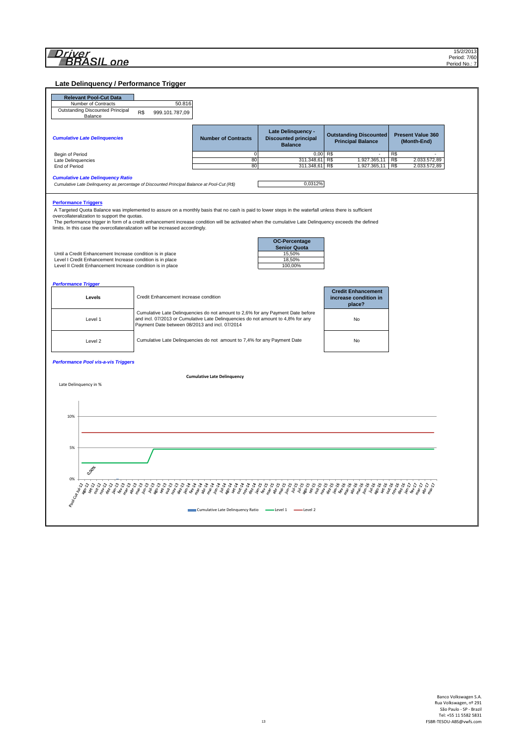**Late Delinquency / Performance Trigger**

| <b>Demiguency / Ferrormance</b>                                                                                                                                                                                                                                                                                                                                                                                                                                                |                                                |                                                                                                                                                                     |                                                                     |                                                              |                                            |
|--------------------------------------------------------------------------------------------------------------------------------------------------------------------------------------------------------------------------------------------------------------------------------------------------------------------------------------------------------------------------------------------------------------------------------------------------------------------------------|------------------------------------------------|---------------------------------------------------------------------------------------------------------------------------------------------------------------------|---------------------------------------------------------------------|--------------------------------------------------------------|--------------------------------------------|
| <b>Relevant Pool-Cut Data</b>                                                                                                                                                                                                                                                                                                                                                                                                                                                  |                                                |                                                                                                                                                                     |                                                                     |                                                              |                                            |
| Number of Contracts<br><b>Outstanding Discounted Principal</b>                                                                                                                                                                                                                                                                                                                                                                                                                 | 50.816<br>R\$                                  |                                                                                                                                                                     |                                                                     |                                                              |                                            |
| Balance                                                                                                                                                                                                                                                                                                                                                                                                                                                                        | 999.101.787,09                                 |                                                                                                                                                                     |                                                                     |                                                              |                                            |
| <b>Cumulative Late Delinquencies</b>                                                                                                                                                                                                                                                                                                                                                                                                                                           |                                                | <b>Number of Contracts</b>                                                                                                                                          | Late Delinquency -<br><b>Discounted principal</b><br><b>Balance</b> | <b>Outstanding Discounted</b><br><b>Principal Balance</b>    | <b>Present Value 360</b><br>(Month-End)    |
| Begin of Period                                                                                                                                                                                                                                                                                                                                                                                                                                                                |                                                | 0                                                                                                                                                                   | $0,00$ R\$                                                          |                                                              | R\$                                        |
| Late Delinquencies<br>End of Period                                                                                                                                                                                                                                                                                                                                                                                                                                            |                                                | 80<br>80                                                                                                                                                            | 311.348,61 R\$<br>311.348,61                                        | 1.927.365,11<br>R\$<br>1.927.365,11                          | R\$<br>2.033.572,89<br>R\$<br>2.033.572,89 |
| <b>Cumulative Late Delinquency Ratio</b><br>Cumulative Late Delinquency as percentage of Discounted Principal Balance at Pool-Cut (R\$)                                                                                                                                                                                                                                                                                                                                        |                                                |                                                                                                                                                                     | 0,0312%                                                             |                                                              |                                            |
| <b>Performance Triggers</b><br>A Targeted Quota Balance was implemented to assure on a monthly basis that no cash is paid to lower steps in the waterfall unless there is sufficient<br>overcollateralization to support the quotas.<br>The performance trigger in form of a credit enhancement increase condition will be activated when the cumulative Late Delinquency exceeds the defined<br>limits. In this case the overcollateralization will be increased accordingly. |                                                |                                                                                                                                                                     |                                                                     |                                                              |                                            |
| Until a Credit Enhancement Increase condition is in place<br>Level I Credit Enhancement Increase condition is in place<br>Level II Credit Enhancement Increase condition is in place                                                                                                                                                                                                                                                                                           |                                                |                                                                                                                                                                     | OC-Percentage<br><b>Senior Quota</b><br>15,50%<br>18,50%<br>100,00% |                                                              |                                            |
| <b>Performance Trigger</b>                                                                                                                                                                                                                                                                                                                                                                                                                                                     |                                                |                                                                                                                                                                     |                                                                     |                                                              |                                            |
| Levels                                                                                                                                                                                                                                                                                                                                                                                                                                                                         | Credit Enhancement increase condition          |                                                                                                                                                                     |                                                                     | <b>Credit Enhancement</b><br>increase condition in<br>place? |                                            |
| Level 1                                                                                                                                                                                                                                                                                                                                                                                                                                                                        | Payment Date between 08/2013 and incl. 07/2014 | Cumulative Late Delinquencies do not amount to 2,6% for any Payment Date before<br>and incl. 07/2013 or Cumulative Late Delinquencies do not amount to 4,8% for any |                                                                     | No                                                           |                                            |
| Level 2                                                                                                                                                                                                                                                                                                                                                                                                                                                                        |                                                | Cumulative Late Delinquencies do not amount to 7,4% for any Payment Date                                                                                            |                                                                     | No                                                           |                                            |
| <b>Performance Pool vis-a-vis Triggers</b>                                                                                                                                                                                                                                                                                                                                                                                                                                     |                                                |                                                                                                                                                                     |                                                                     |                                                              |                                            |
|                                                                                                                                                                                                                                                                                                                                                                                                                                                                                |                                                | <b>Cumulative Late Delinquency</b>                                                                                                                                  |                                                                     |                                                              |                                            |
| Late Delinquency in %                                                                                                                                                                                                                                                                                                                                                                                                                                                          |                                                |                                                                                                                                                                     |                                                                     |                                                              |                                            |
| 10%                                                                                                                                                                                                                                                                                                                                                                                                                                                                            |                                                |                                                                                                                                                                     |                                                                     |                                                              |                                            |
| 5%                                                                                                                                                                                                                                                                                                                                                                                                                                                                             |                                                |                                                                                                                                                                     |                                                                     |                                                              |                                            |
| 0.00gle                                                                                                                                                                                                                                                                                                                                                                                                                                                                        |                                                |                                                                                                                                                                     |                                                                     |                                                              |                                            |
|                                                                                                                                                                                                                                                                                                                                                                                                                                                                                |                                                |                                                                                                                                                                     |                                                                     |                                                              |                                            |
|                                                                                                                                                                                                                                                                                                                                                                                                                                                                                |                                                |                                                                                                                                                                     |                                                                     |                                                              |                                            |
|                                                                                                                                                                                                                                                                                                                                                                                                                                                                                |                                                | Cumulative Late Delinquency Ratio - Level 1 - Level 2                                                                                                               |                                                                     |                                                              |                                            |
|                                                                                                                                                                                                                                                                                                                                                                                                                                                                                |                                                |                                                                                                                                                                     |                                                                     |                                                              |                                            |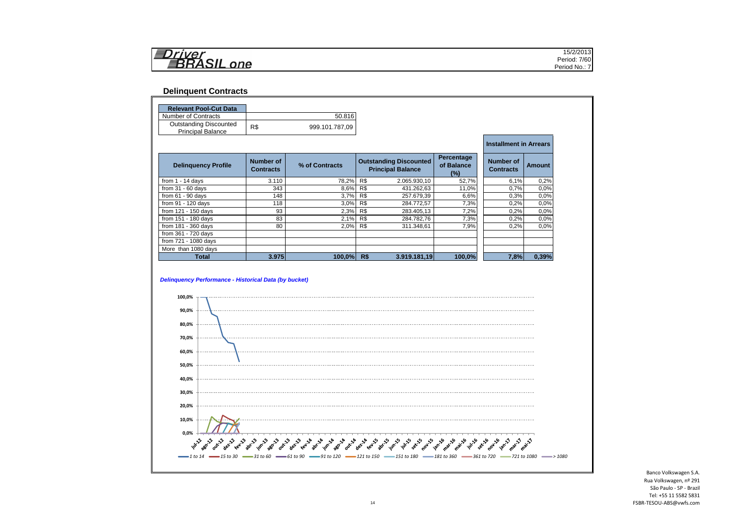| 111224 | $\cdots$<br>15/ <i>2</i> /2013 |
|--------|--------------------------------|
|        | Period: 7/60                   |
| one    | Period<br>No.:                 |
|        |                                |

#### **Delinquent Contracts**

| <b>Relevant Pool-Cut Data</b><br>Number of Contracts                                   |                                      | 50.816         |     |                                                           |                                 |                                      |        |
|----------------------------------------------------------------------------------------|--------------------------------------|----------------|-----|-----------------------------------------------------------|---------------------------------|--------------------------------------|--------|
| <b>Outstanding Discounted</b>                                                          |                                      |                |     |                                                           |                                 |                                      |        |
| <b>Principal Balance</b>                                                               | R\$                                  | 999.101.787,09 |     |                                                           |                                 |                                      |        |
|                                                                                        |                                      |                |     |                                                           |                                 | <b>Installment in Arrears</b>        |        |
| <b>Delinquency Profile</b>                                                             | <b>Number of</b><br><b>Contracts</b> | % of Contracts |     | <b>Outstanding Discounted</b><br><b>Principal Balance</b> | Percentage<br>of Balance<br>(%) | <b>Number of</b><br><b>Contracts</b> | Amount |
| from $1 - 14$ days                                                                     | 3.110                                | 78,2%          | R\$ | 2.065.930,10                                              | 52,7%                           | 6,1%                                 | 0.2%   |
| from $31 - 60$ days                                                                    | 343                                  | 8,6%           | R\$ | 431.262,63                                                | 11,0%                           | 0.7%                                 | 0.0%   |
| from $61 - 90$ days                                                                    | 148                                  | 3,7%           | R\$ | 257.679,39                                                | 6,6%                            | 0,3%                                 | 0.0%   |
| from 91 - 120 days                                                                     | 118                                  | 3,0%           | R\$ | 284.772,57                                                | 7,3%                            | 0,2%                                 | 0,0%   |
| from 121 - 150 days                                                                    | 93                                   | 2,3%           | R\$ | 283.405,13                                                | 7,2%                            | 0,2%                                 | 0,0%   |
| from 151 - 180 days                                                                    | 83                                   | 2,1%           | R\$ | 284.782,76                                                | 7,3%                            | 0,2%                                 | 0,0%   |
| from 181 - 360 days                                                                    | 80                                   | 2,0%           | R\$ | 311.348,61                                                | 7,9%                            | 0,2%                                 | 0.0%   |
| from 361 - 720 days                                                                    |                                      |                |     |                                                           |                                 |                                      |        |
| from 721 - 1080 days                                                                   |                                      |                |     |                                                           |                                 |                                      |        |
| More than 1080 days                                                                    |                                      |                |     |                                                           |                                 |                                      |        |
| <b>Total</b><br><b>Delinquency Performance - Historical Data (by bucket)</b><br>100,0% | 3.975                                | 100,0%         | R\$ | 3.919.181,19                                              | 100,0%                          | 7,8%                                 |        |
| 90,0%                                                                                  |                                      |                |     |                                                           |                                 |                                      | 0,39%  |
| 80,0%<br>70,0%                                                                         |                                      |                |     |                                                           |                                 |                                      |        |
| 60,0%                                                                                  |                                      |                |     |                                                           |                                 |                                      |        |
| 50,0%                                                                                  |                                      |                |     |                                                           |                                 |                                      |        |
| 40,0%                                                                                  |                                      |                |     |                                                           |                                 |                                      |        |
| 30,0%<br>20,0%                                                                         |                                      |                |     |                                                           |                                 |                                      |        |
| 10,0%                                                                                  |                                      |                |     |                                                           |                                 |                                      |        |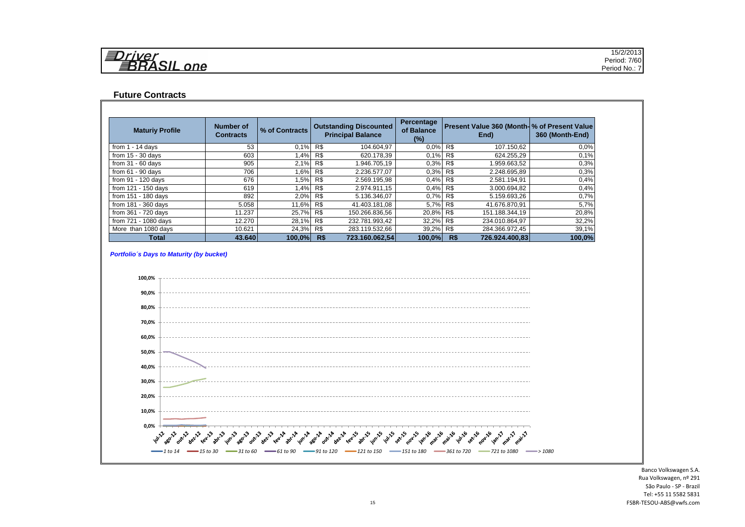| 与<br>$r$ $\iota$         | 15/2/2013    |
|--------------------------|--------------|
| $\equiv$<br>__<br>$\sim$ | Period: 7/60 |
| one                      | Period No.:  |

#### **Future Contracts**

| <b>Maturiy Profile</b> | Number of<br><b>Contracts</b> | % of Contracts | <b>Outstanding Discounted</b><br><b>Principal Balance</b> |                | Percentage<br>of Balance<br>$(\%)$ | Present Value 360 (Month- % of Present Value<br>End) |                | 360 (Month-End) |
|------------------------|-------------------------------|----------------|-----------------------------------------------------------|----------------|------------------------------------|------------------------------------------------------|----------------|-----------------|
| from $1 - 14$ days     | 53                            | 0.1%           | R\$                                                       | 104.604.97     | 0.0%                               | R\$                                                  | 107.150,62     | 0.0%            |
| from $15 - 30$ days    | 603                           | 1,4% R\$       |                                                           | 620.178,39     | 0,1%                               | R\$                                                  | 624.255,29     | 0.1%            |
| from $31 - 60$ days    | 905                           | 2,1% R\$       |                                                           | 1.946.705.19   | 0,3%                               | R\$                                                  | 1.959.663,52   | 0.3%            |
| from $61 - 90$ days    | 706                           | 1,6% R\$       |                                                           | 2.236.577,07   | 0,3%                               | R\$                                                  | 2.248.695,89   | 0.3%            |
| from 91 - 120 days     | 676                           | 1,5% R\$       |                                                           | 2.569.195,98   | 0.4%                               | R\$                                                  | 2.581.194,91   | 0.4%            |
| from 121 - 150 days    | 619                           | 1,4% R\$       |                                                           | 2.974.911.15   | 0.4%                               | R\$                                                  | 3.000.694.82   | 0,4%            |
| from 151 - 180 days    | 892                           | 2,0% R\$       |                                                           | 5.136.346,07   | 0,7%                               | R\$                                                  | 5.159.693,26   | 0,7%            |
| from $181 - 360$ days  | 5.058                         | 11,6% R\$      |                                                           | 41.403.181,08  | 5,7%                               | R\$                                                  | 41.676.870,91  | 5,7%            |
| from 361 - 720 days    | 11.237                        | 25,7% R\$      |                                                           | 150.266.836.56 | 20,8%                              | R\$                                                  | 151.188.344.19 | 20,8%           |
| from 721 - 1080 days   | 12.270                        | 28,1% R\$      |                                                           | 232.781.993,42 | 32,2%                              | R\$                                                  | 234.010.864,97 | 32,2%           |
| More than 1080 days    | 10.621                        | 24,3% R\$      |                                                           | 283.119.532,66 | 39,2%                              | R\$                                                  | 284.366.972,45 | 39,1%           |
| <b>Total</b>           | 43.640                        | $100.0\%$      | R\$                                                       | 723.160.062.54 | 100,0%                             | R\$                                                  | 726.924.400.83 | 100,0%          |

#### *Portfolio´s Days to Maturity (by bucket)*

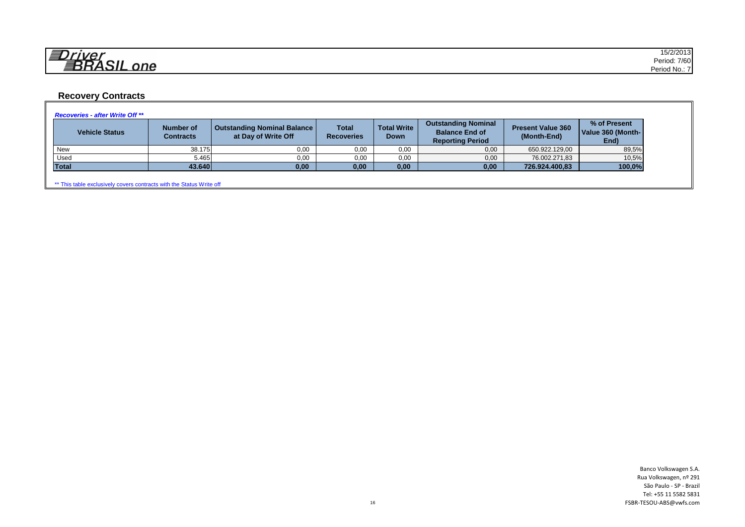| 红                | 15/2/2013    |
|------------------|--------------|
| __               | Period: 7/60 |
| $n_{\mathsf{A}}$ | Period No    |

## **Recovery Contracts**

| <b>Vehicle Status</b> | <b>Number of</b><br>Contracts | <b>Outstanding Nominal Balance</b><br>at Day of Write Off | <b>Total</b><br><b>Recoveries</b> | <b>Total Write</b><br><b>Down</b> | <b>Outstanding Nominal</b><br><b>Balance End of</b><br><b>Reporting Period</b> | <b>Present Value 360</b><br>(Month-End) | % of Present<br>Value 360 (Month-<br>End) |
|-----------------------|-------------------------------|-----------------------------------------------------------|-----------------------------------|-----------------------------------|--------------------------------------------------------------------------------|-----------------------------------------|-------------------------------------------|
| <b>New</b>            | 38.175                        | 0,00                                                      | 0,00                              | 0,00                              | 0,00                                                                           | 650.922.129,00                          | 89,5%                                     |
| Used                  | 5.465                         | 0,00                                                      | 0,00                              | 0,00                              | 0,00                                                                           | 76.002.271,83                           | 10,5%                                     |
| <b>Total</b>          | 43.640                        | 0,00                                                      | 0,00                              | 0,00                              | 0,00                                                                           | 726.924.400,83                          | 100,0%                                    |

\*\* This table exclusively covers contracts with the Status Write off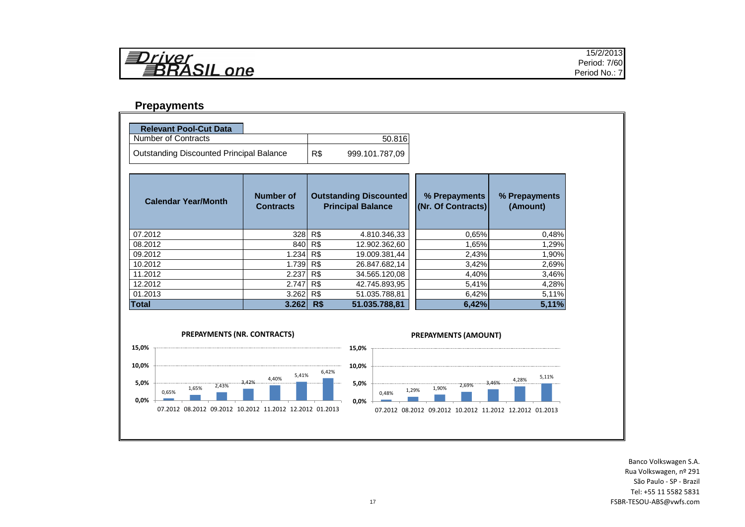| r I v<br>7 P L        |      |
|-----------------------|------|
| RASIL<br>$\mathbf{C}$ | ,,,, |

#### **Prepayments**

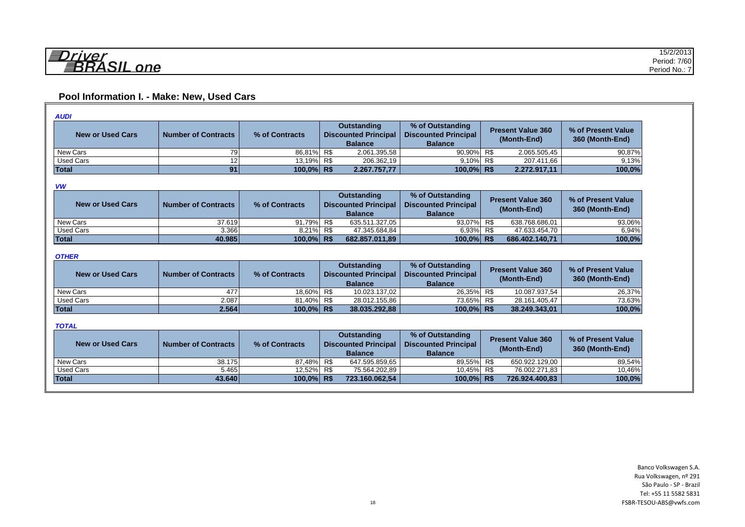## **Pool Information I. - Make: New, Used Cars**

| <b>AUDI</b>             |                                                                                            |            |                                                 |                                         |                                       |        |
|-------------------------|--------------------------------------------------------------------------------------------|------------|-------------------------------------------------|-----------------------------------------|---------------------------------------|--------|
| <b>New or Used Cars</b> | Outstanding<br><b>Discounted Principal</b><br><b>Number of Contracts</b><br>% of Contracts |            | % of Outstanding<br><b>Discounted Principal</b> | <b>Present Value 360</b><br>(Month-End) | % of Present Value<br>360 (Month-End) |        |
|                         |                                                                                            |            | <b>Balance</b>                                  | <b>Balance</b>                          |                                       |        |
| New Cars                | 791                                                                                        | 86,81% R\$ | 2.061.395,58                                    | 90,90% R\$                              | 2.065.505,45                          | 90,87% |
| <b>Used Cars</b>        | າດ                                                                                         | 13.19% R\$ | 206.362.19                                      | 9.10% R\$                               | 207.411.66                            | 9,13%  |
| Total                   | 91                                                                                         | 100.0% R\$ | 2.267.757,77                                    | 100.0% R\$                              | 2.272.917.11                          | 100,0% |

#### *VW*

| New or Used Cars | <b>Number of Contracts</b> | % of Contracts | <b>Outstanding</b><br><b>Discounted Principal</b><br><b>Balance</b> |                | % of Outstanding<br><b>Discounted Principal</b><br><b>Balance</b> | <b>Present Value 360</b><br>(Month-End) |                | % of Present Value<br>360 (Month-End) |
|------------------|----------------------------|----------------|---------------------------------------------------------------------|----------------|-------------------------------------------------------------------|-----------------------------------------|----------------|---------------------------------------|
| New Cars         | 37.619                     | 91.79%         | R\$                                                                 | 635.511.327.05 | 93.07% R\$                                                        |                                         | 638.768.686.01 | 93.06%                                |
| <b>Used Cars</b> | 3.366                      | 8.21% R\$      |                                                                     | 47.345.684.84  | 6.93% R\$                                                         |                                         | 47.633.454.70  | 6.94%                                 |
| <b>Total</b>     | 40.985                     | 100.0% R\$     |                                                                     | 682.857.011.89 | 100.0% R\$                                                        |                                         | 686.402.140.71 | 100.0%                                |

#### *OTHER*

| <b>New or Used Cars</b> | <b>Number of Contracts</b> | % of Contracts | <b>Outstanding</b><br><b>Discounted Principal</b><br><b>Balance</b> |               | % of Outstanding<br><b>Discounted Principal</b><br><b>Balance</b> |  | <b>Present Value 360</b><br>(Month-End) | % of Present Value<br>360 (Month-End) |
|-------------------------|----------------------------|----------------|---------------------------------------------------------------------|---------------|-------------------------------------------------------------------|--|-----------------------------------------|---------------------------------------|
| New Cars                | 477                        | 18.60% R\$     |                                                                     | 10.023.137.02 | 26.35% R\$                                                        |  | 10.087.937.54                           | 26.37%                                |
| Used Cars               | 2.087                      | 81.40% R\$     |                                                                     | 28.012.155.86 | 73.65% R\$                                                        |  | 28.161.405.47                           | 73.63%                                |
| <b>Total</b>            | 2.564                      | 100.0% R\$     |                                                                     | 38.035.292.88 | 100.0% R\$                                                        |  | 38.249.343.01                           | 100,0%                                |

#### *TOTAL*

| <b>New or Used Cars</b> | <b>Number of Contracts</b> | % of Contracts | % of Outstanding<br>Outstanding<br>Discounted Principal   Discounted Principal<br><b>Balance</b><br><b>Balance</b> |                | <b>Present Value 360</b><br>(Month-End) |                | % of Present Value<br>360 (Month-End) |
|-------------------------|----------------------------|----------------|--------------------------------------------------------------------------------------------------------------------|----------------|-----------------------------------------|----------------|---------------------------------------|
| New Cars                | 38.175                     | 87.48% R\$     |                                                                                                                    | 647.595.859,65 | 89.55% R\$                              | 650.922.129,00 | 89,54%                                |
| <b>Used Cars</b>        | 5.465                      | 12.52% R\$     |                                                                                                                    | 75.564.202.89  | 10.45% R\$                              | 76.002.271.83  | 10,46%                                |
| <b>Total</b>            | 43.640                     | $100.0\%$ R\$  |                                                                                                                    | 723.160.062.54 | 100.0% R\$                              | 726.924.400.83 | 100,0%                                |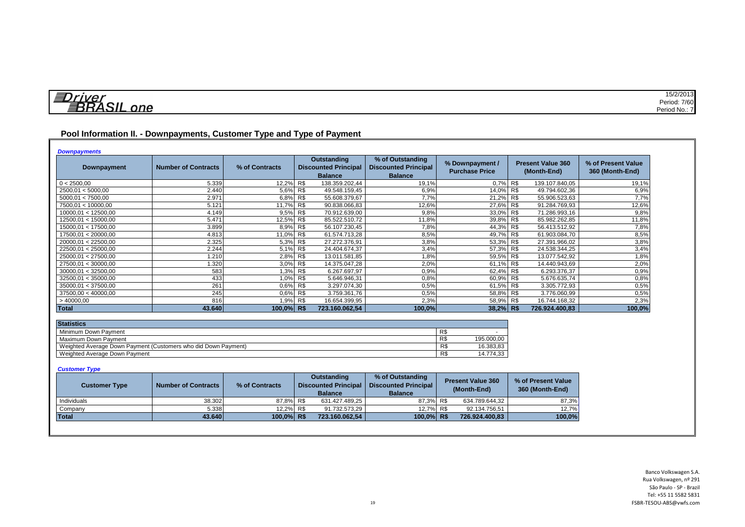| 与<br>$r$ $\mu$ | 15/2/2013     |
|----------------|---------------|
| $\blacksquare$ | Period: 7/60  |
| one            | Period No.: . |

## **Pool Information II. - Downpayments, Customer Type and Type of Payment**

| Downpayment         | <b>Number of Contracts</b> | % of Contracts | <b>Outstanding</b><br><b>Discounted Principal</b><br><b>Balance</b> | % of Outstanding<br><b>Discounted Principal</b><br><b>Balance</b> | % Downpayment /<br><b>Purchase Price</b> | <b>Present Value 360</b><br>(Month-End) | % of Present Value<br>360 (Month-End) |
|---------------------|----------------------------|----------------|---------------------------------------------------------------------|-------------------------------------------------------------------|------------------------------------------|-----------------------------------------|---------------------------------------|
| 0 < 2500,00         | 5.339                      | 12,2% R\$      | 138.359.202,44                                                      | 19,1%                                                             | 0.7% R\$                                 | 139.107.840,05                          | 19,1%                                 |
| 2500.01 < 5000.00   | 2.440                      | 5.6%           | R<br>49.548.159.45                                                  | 6.9%                                                              | 14.0% R\$                                | 49.794.602.36                           | 6,9%                                  |
| 5000.01 < 7500.00   | 2.971                      | 6,8%           | R<br>55.608.379,67                                                  | 7.7%                                                              | 21,2% R\$                                | 55.906.523,63                           | 7,7%                                  |
| 7500,01 < 10000,00  | 5.121                      | 11,7% R\$      | 90.838.066,83                                                       | 12,6%                                                             | 27,6% R\$                                | 91.284.769,93                           | 12,6%                                 |
| 10000.01 < 12500.00 | 4.149                      | 9,5% R\$       | 70.912.639.00                                                       | 9.8%                                                              | 33,0% R\$                                | 71.286.993.16                           | 9,8%                                  |
| 12500,01 < 15000,00 | 5.471                      | 12,5% R\$      | 85.522.510,72                                                       | 11,8%                                                             | 39,8% R\$                                | 85.982.262,85                           | 11,8%                                 |
| 15000.01 < 17500.00 | 3.899                      | 8,9% R\$       | 56.107.230,45                                                       | 7,8%                                                              | 44,3% R\$                                | 56.413.512,92                           | 7,8%                                  |
| 17500,01 < 20000,00 | 4.813                      | 11,0% R\$      | 61.574.713,28                                                       | 8,5%                                                              | 49,7% R\$                                | 61.903.084,70                           | 8,5%                                  |
| 20000,01 < 22500,00 | 2.325                      | 5,3% R\$       | 27.272.376,91                                                       | 3,8%                                                              | 53,3% R\$                                | 27.391.966,02                           | 3,8%                                  |
| 22500,01 < 25000,00 | 2.244                      | 5,1% R\$       | 24.404.674,37                                                       | 3,4%                                                              | 57,3% R\$                                | 24.538.344,25                           | 3,4%                                  |
| 25000.01 < 27500.00 | 1.210                      | 2,8%           | R\$<br>13.011.581,85                                                | 1,8%                                                              | 59,5% R\$                                | 13.077.542.92                           | 1,8%                                  |
| 27500,01 < 30000,00 | 1.320                      | 3,0% R\$       | 14.375.047,28                                                       | 2,0%                                                              | 61,1% R\$                                | 14.440.943,69                           | 2,0%                                  |
| 30000.01 < 32500.00 | 583                        | 1,3% R\$       | 6.267.697,97                                                        | 0,9%                                                              | 62,4% R\$                                | 6.293.376,37                            | 0,9%                                  |
| 32500.01 < 35000.00 | 433                        | 1,0% R\$       | 5.646.946,31                                                        | 0.8%                                                              | 60,9% R\$                                | 5.676.635.74                            | 0,8%                                  |
| 35000.01 < 37500.00 | 261                        | 0.6% R\$       | 3.297.074,30                                                        | 0,5%                                                              | 61,5% R\$                                | 3.305.772.93                            | 0,5%                                  |
| 37500,00 < 40000,00 | 245                        | 0.6% R\$       | 3.759.361,76                                                        | 0.5%                                                              | 58,8% R\$                                | 3.776.060,99                            | 0,5%                                  |
| >40000,00           | 816                        | 1,9% R\$       | 16.654.399,95                                                       | 2,3%                                                              | 58,9% R\$                                | 16.744.168,32                           | 2,3%                                  |
| Total               | 43.640                     | $100,0\%$ R\$  | 723.160.062,54                                                      | 100,0%                                                            | $38,2\%$ R\$                             | 726.924.400,83                          | 100,0%                                |

| <b>Statistics</b>                                              |     |            |
|----------------------------------------------------------------|-----|------------|
| Minimum Down Payment                                           | R\$ |            |
| Maximum Down Payment                                           | R\$ | 195.000.00 |
| Weighted Average Down Payment (Customers who did Down Payment) | R\$ | 16.383.83  |
| Weighted Average Down Payment                                  | R\$ | 14.774.33  |

#### *Customer Type*

| <b>Customer Type</b> | <b>Number of Contracts</b> | % of Contracts | Outstanding<br><b>Discounted Principal</b><br><b>Balance</b> | % of Outstanding<br><b>Discounted Principal</b><br><b>Balance</b> | <b>Present Value 360</b><br>(Month-End) | % of Present Value<br>360 (Month-End) |
|----------------------|----------------------------|----------------|--------------------------------------------------------------|-------------------------------------------------------------------|-----------------------------------------|---------------------------------------|
| Individuals          | 38.302                     | 87.8% R\$      | 631.427.489,25                                               | 87.3% R\$                                                         | 634.789.644.32                          | 87,3%                                 |
| Company              | 5.338                      | 12.2% R\$      | 91.732.573.29                                                | 12.7% R\$                                                         | 92.134.756.51                           | 12,7%                                 |
| <b>Total</b>         | 43.640                     | 100.0% R\$     | 723.160.062.54                                               | 100.0% R\$                                                        | 726.924.400.83                          | 100,0%                                |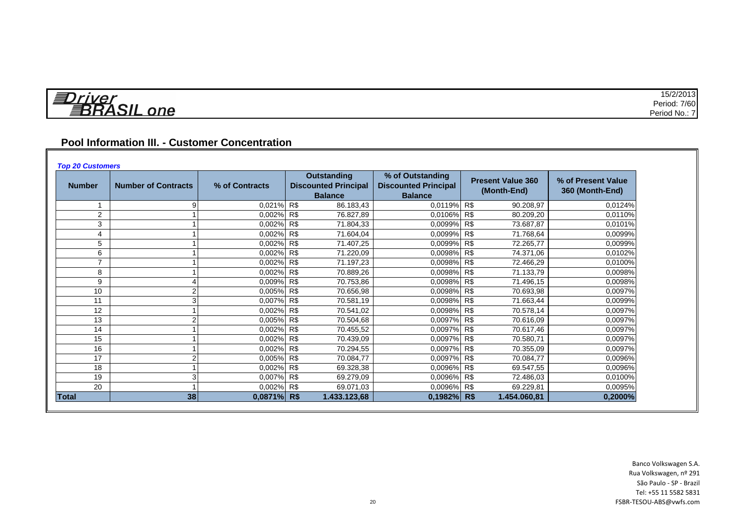| VIIIAV                                          | 15/2/2013       |
|-------------------------------------------------|-----------------|
| И<br>_<br>$\sim$<br>_<br>$\cdot$ n $\cdot$<br>_ | 7/60<br>Period: |
|                                                 | Period No.:     |

## **Pool Information III. - Customer Concentration**

| <b>Number</b> | <b>Number of Contracts</b> | % of Contracts | <b>Outstanding</b><br><b>Discounted Principal</b><br><b>Balance</b> | % of Outstanding<br><b>Discounted Principal</b><br><b>Balance</b> | <b>Present Value 360</b><br>(Month-End) | % of Present Value<br>360 (Month-End) |
|---------------|----------------------------|----------------|---------------------------------------------------------------------|-------------------------------------------------------------------|-----------------------------------------|---------------------------------------|
|               |                            | 0.021% R\$     | 86.183,43                                                           | 0,0119% R\$                                                       | 90.208,97                               | 0,0124%                               |
| 2             |                            | 0.002% R\$     | 76.827,89                                                           | 0,0106% R\$                                                       | 80.209,20                               | 0.0110%                               |
| 3             |                            | 0,002% R\$     | 71.804,33                                                           | 0,0099%                                                           | R\$<br>73.687,87                        | 0.0101%                               |
| 4             |                            | 0,002% R\$     | 71.604,04                                                           | 0.0099%                                                           | R\$<br>71.768,64                        | 0,0099%                               |
| 5             |                            | 0,002% R\$     | 71.407,25                                                           | 0,0099% R\$                                                       | 72.265,77                               | 0.0099%                               |
| 6             |                            | 0,002% R\$     | 71.220,09                                                           | 0,0098% R\$                                                       | 74.371,06                               | 0,0102%                               |
|               |                            | 0,002% R\$     | 71.197,23                                                           | 0.0098% R\$                                                       | 72.466,29                               | 0.0100%                               |
| 8             |                            | 0.002% R\$     | 70.889,26                                                           | 0,0098% R\$                                                       | 71.133,79                               | 0.0098%                               |
| 9             |                            | 0.009% R\$     | 70.753,86                                                           | 0,0098% R\$                                                       | 71.496,15                               | 0,0098%                               |
| 10            |                            | 0.005% R\$     | 70.656,98                                                           | 0.0098% R\$                                                       | 70.693,98                               | 0.0097%                               |
| 11            |                            | 0.007% R\$     | 70.581,19                                                           | 0,0098% R\$                                                       | 71.663,44                               | 0,0099%                               |
| 12            |                            | 0,002% R\$     | 70.541,02                                                           | 0.0098%                                                           | R\$<br>70.578,14                        | 0,0097%                               |
| 13            |                            | 0,005% R\$     | 70.504,68                                                           | 0,0097% R\$                                                       | 70.616,09                               | 0,0097%                               |
| 14            |                            | 0,002% R\$     | 70.455,52                                                           | 0,0097% R\$                                                       | 70.617,46                               | 0,0097%                               |
| 15            |                            | 0.002% R\$     | 70.439,09                                                           | 0.0097%                                                           | R\$<br>70.580,71                        | 0,0097%                               |
| 16            |                            | 0,002% R\$     | 70.294,55                                                           | 0.0097%                                                           | R\$<br>70.355,09                        | 0,0097%                               |
| 17            |                            | 0.005% R\$     | 70.084,77                                                           | 0,0097% R\$                                                       | 70.084,77                               | 0.0096%                               |
| 18            |                            | 0,002% R\$     | 69.328,38                                                           | 0,0096% R\$                                                       | 69.547,55                               | 0,0096%                               |
| 19            |                            | 0.007% R\$     | 69.279,09                                                           | 0,0096% R\$                                                       | 72.486,03                               | 0.0100%                               |
| 20            |                            | 0,002% R\$     | 69.071,03                                                           | 0,0096% R\$                                                       | 69.229,81                               | 0,0095%                               |
| <b>Total</b>  | 38                         | $0,0871\%$ R\$ | 1.433.123,68                                                        | $0,1982%$ R\$                                                     | 1.454.060,81                            | 0,2000%                               |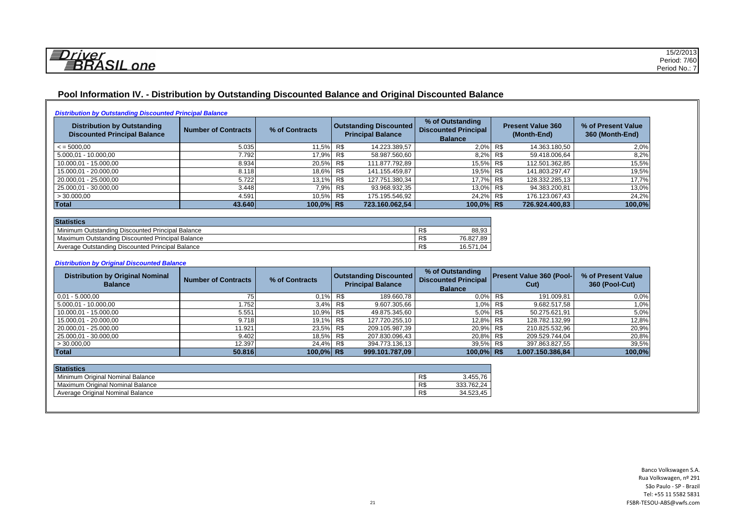*<u>EDriver</u>*<br>BRASIL one

## **Pool Information IV. - Distribution by Outstanding Discounted Balance and Original Discounted Balance**

|  | <b>Distribution by Outstanding Discounted Principal Balance</b> |
|--|-----------------------------------------------------------------|
|  |                                                                 |

| <b>Distribution by Outstanding</b><br><b>Discounted Principal Balance</b> | <b>Number of Contracts</b> | % of Contracts | <b>Outstanding Discounted</b><br><b>Principal Balance</b> | % of Outstanding<br><b>Discounted Principal</b><br><b>Balance</b> | <b>Present Value 360</b><br>(Month-End) | % of Present Value<br>360 (Month-End) |
|---------------------------------------------------------------------------|----------------------------|----------------|-----------------------------------------------------------|-------------------------------------------------------------------|-----------------------------------------|---------------------------------------|
| $\le$ = 5000.00                                                           | 5.035                      | 11.5% R\$      | 14.223.389,57                                             | $2.0\%$ R\$                                                       | 14.363.180,50                           | 2,0%                                  |
| 5.000,01 - 10.000,00                                                      | 7.792                      | 17,9% R\$      | 58.987.560,60                                             | 8,2% R\$                                                          | 59.418.006,64                           | 8,2%                                  |
| 10.000,01 - 15.000,00                                                     | 8.934                      | 20.5% R\$      | 111.877.792,89                                            | 15,5% R\$                                                         | 112.501.362,85                          | 15,5%                                 |
| 15.000,01 - 20.000,00                                                     | 8.118                      | 18,6% R\$      | 141.155.459,87                                            | 19,5% R\$                                                         | 141.803.297,47                          | 19,5%                                 |
| 20.000,01 - 25.000,00                                                     | 5.722                      | 13.1% R\$      | 127.751.380,34                                            | 17.7% R\$                                                         | 128.332.285,13                          | 17,7%                                 |
| 25.000,01 - 30.000,00                                                     | 3.448                      | 7,9% R\$       | 93.968.932,35                                             | 13,0% R\$                                                         | 94.383.200,81                           | 13,0%                                 |
| >30.000,00                                                                | 4.591                      | 10,5% R\$      | 175.195.546,92                                            | 24,2% R\$                                                         | 176.123.067,43                          | 24,2%                                 |
| Total                                                                     | 43.640                     | $100.0\%$ R\$  | 723.160.062,54                                            | 100,0% R\$                                                        | 726.924.400,83                          | 100,0%                                |

| <b>Statistics</b>                                |            |              |
|--------------------------------------------------|------------|--------------|
| Minimum Outstanding Discounted Principal Balance | D.<br>IN D | 88.93        |
| Maximum Outstanding Discounted Principal Balance | D.<br>ΓJ   | 76.827.89    |
| Average Outstanding Discounted Principal Balance | D.<br>кı   | 16.57<br>.04 |

#### *Distribution by Original Discounted Balance*

| <b>Distribution by Original Nominal</b><br><b>Balance</b> | <b>Number of Contracts</b> | % of Contracts |     | <b>Outstanding Discounted</b><br><b>Principal Balance</b> | % of Outstanding<br><b>Discounted Principal</b><br><b>Balance</b> | <b>Present Value 360 (Pool-</b><br>Cut) |                  | % of Present Value<br>360 (Pool-Cut) |
|-----------------------------------------------------------|----------------------------|----------------|-----|-----------------------------------------------------------|-------------------------------------------------------------------|-----------------------------------------|------------------|--------------------------------------|
| $0.01 - 5.000.00$                                         |                            | 0.1%           | R\$ | 189.660,78                                                | $0.0\%$ R\$                                                       |                                         | 191.009,81       | 0.0%                                 |
| 5.000.01 - 10.000.00                                      | 1.752                      | 3,4%           | R\$ | 9.607.305,66                                              | 1,0% R\$                                                          |                                         | 9.682.517,58     | 1,0%                                 |
| 10.000,01 - 15.000,00                                     | 5.551                      | 10,9% R\$      |     | 49.875.345,60                                             | $5.0\%$ R\$                                                       |                                         | 50.275.621,91    | 5,0%                                 |
| 15.000,01 - 20.000,00                                     | 9.718                      | 19,1% R\$      |     | 127.720.255,10                                            | 12,8% R\$                                                         |                                         | 128.782.132,99   | 12,8%                                |
| 20.000.01 - 25.000.00                                     | 11.921                     | 23.5% R\$      |     | 209.105.987,39                                            | 20,9% R\$                                                         |                                         | 210.825.532,96   | 20,9%                                |
| 25.000,01 - 30.000,00                                     | 9.402                      | 18,5% R\$      |     | 207.830.096,43                                            | 20,8% R\$                                                         |                                         | 209.529.744,04   | 20,8%                                |
| >30.000,00                                                | 12.397                     | 24.4% R\$      |     | 394.773.136,13                                            | 39,5% R\$                                                         |                                         | 397.863.827,55   | 39,5%                                |
| Total                                                     | 50.816                     | $100,0\%$ R\$  |     | 999.101.787,09                                            | $100.0\%$ R\$                                                     |                                         | 1.007.150.386,84 | 100,0%                               |

| <b>Statistics</b>                |     |                       |
|----------------------------------|-----|-----------------------|
| Minimum Original Nominal Balance | R\$ | 76<br>3.455.76        |
| Maximum Original Nominal Balance | R\$ | 762.24<br>nnn<br>ບບບ. |
| Average Original Nominal Balance | R\$ |                       |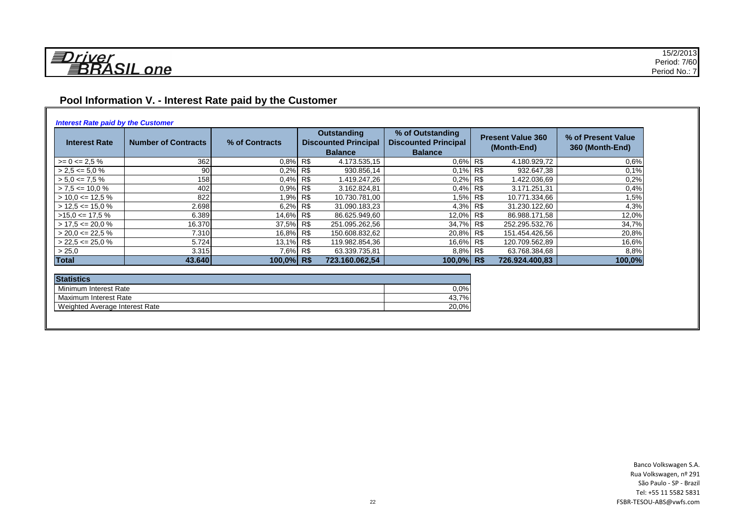## **Pool Information V. - Interest Rate paid by the Customer**

#### *Interest Rate paid by the Customer*

| <b>Interest Rate</b> | <b>Number of Contracts</b> | % of Contracts | Outstanding<br><b>Discounted Principal</b><br><b>Balance</b> | % of Outstanding<br><b>Discounted Principal</b><br><b>Balance</b> |  | <b>Present Value 360</b><br>(Month-End) | % of Present Value<br>360 (Month-End) |
|----------------------|----------------------------|----------------|--------------------------------------------------------------|-------------------------------------------------------------------|--|-----------------------------------------|---------------------------------------|
| $>= 0 \le 2.5 \%$    | 362                        | 0.8% R\$       | 4.173.535,15                                                 | 0.6% R\$                                                          |  | 4.180.929,72                            | 0,6%                                  |
| $> 2.5 \le 5.0 \%$   | 90 <sub>1</sub>            | $0.2\%$ R\$    | 930.856,14                                                   | $0.1\%$ R\$                                                       |  | 932.647,38                              | 0,1%                                  |
| $> 5.0 \leq 7.5\%$   | 158 <sup>1</sup>           | $0.4\%$ R\$    | 1.419.247,26                                                 | $0.2\%$ R\$                                                       |  | 1.422.036,69                            | 0.2%                                  |
| $> 7.5 \le 10.0 \%$  | 402                        | $0.9\%$ R\$    | 3.162.824,81                                                 | $0.4\%$ R\$                                                       |  | 3.171.251,31                            | 0.4%                                  |
| $> 10.0 \le 12.5 \%$ | 822                        | 1,9% R\$       | 10.730.781,00                                                | 1,5% R\$                                                          |  | 10.771.334,66                           | 1.5%                                  |
| $> 12.5 \le 15.0 \%$ | 2.698                      | 6,2% R\$       | 31.090.183,23                                                | 4,3% R\$                                                          |  | 31.230.122,60                           | 4,3%                                  |
| $>15.0 \leq 17.5 \%$ | 6.389                      | 14,6% R\$      | 86.625.949,60                                                | 12,0% R\$                                                         |  | 86.988.171,58                           | 12,0%                                 |
| $> 17.5 \le 20.0 \%$ | 16.370                     | 37,5% R\$      | 251.095.262,56                                               | 34,7% R\$                                                         |  | 252.295.532,76                          | 34,7%                                 |
| $>$ 20.0 <= 22.5 %   | 7.310                      | 16,8% R\$      | 150.608.832,62                                               | 20,8% R\$                                                         |  | 151.454.426,56                          | 20,8%                                 |
| $>$ 22,5 <= 25,0 %   | 5.724                      | 13.1% R\$      | 119.982.854,36                                               | 16,6% R\$                                                         |  | 120.709.562,89                          | 16,6%                                 |
| > 25,0               | 3.315                      | 7,6% R\$       | 63.339.735,81                                                | 8,8% R\$                                                          |  | 63.768.384,68                           | 8,8%                                  |
| <b>Total</b>         | 43.640                     | 100,0% R\$     | 723.160.062.54                                               | $100.0\%$ R\$                                                     |  | 726.924.400.83                          | 100,0%                                |

| <b>Statistics</b>              |       |  |  |  |  |  |  |
|--------------------------------|-------|--|--|--|--|--|--|
| Minimum Interest Rate          | 0.0%  |  |  |  |  |  |  |
| Maximum Interest Rate          | 43.7% |  |  |  |  |  |  |
| Weighted Average Interest Rate | 20,0% |  |  |  |  |  |  |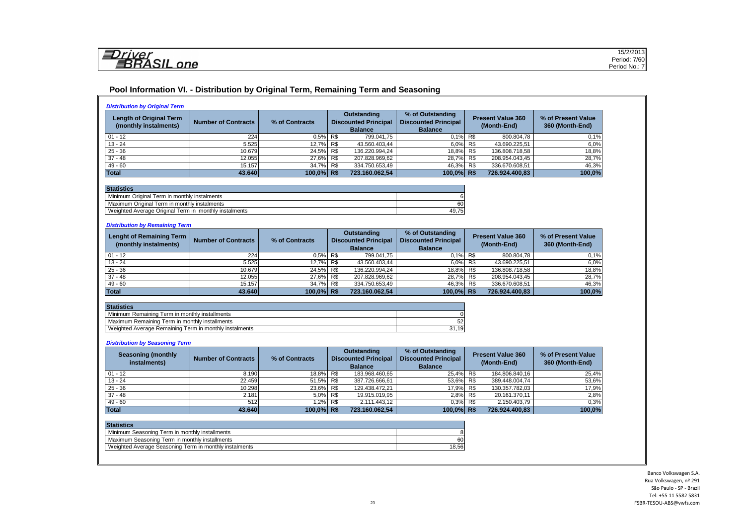#### **Pool Information VI. - Distribution by Original Term, Remaining Term and Seasoning**

| <b>Length of Original Term</b><br>(monthly instalments)           | <b>Number of Contracts</b> | % of Contracts     | Outstanding<br><b>Discounted Principal</b><br><b>Balance</b> |                                | % of Outstanding<br><b>Discounted Principal</b><br><b>Balance</b> | <b>Present Value 360</b><br>(Month-End) |                                | % of Present Value<br>360 (Month-End) |
|-------------------------------------------------------------------|----------------------------|--------------------|--------------------------------------------------------------|--------------------------------|-------------------------------------------------------------------|-----------------------------------------|--------------------------------|---------------------------------------|
| $01 - 12$                                                         | 224                        | 0,5%               | R\$                                                          | 799.041.75                     | 0,1%                                                              | R\$                                     | 800.804,78                     | 0,1%                                  |
| $13 - 24$                                                         | 5.525                      | 12,7%              | R\$                                                          | 43.560.403,44                  | 6,0%                                                              | R\$                                     | 43.690.225,51                  | 6,0%                                  |
| $25 - 36$                                                         | 10.679                     | 24,5%              | R\$                                                          | 136.220.994,24                 | 18,8%                                                             | R\$                                     | 136.808.718,58                 | 18,8%                                 |
| $37 - 48$                                                         | 12.055                     | 27,6%              | R\$                                                          | 207.828.969,62                 | 28,7%                                                             | R\$                                     | 208.954.043,45                 | 28,7%                                 |
| $49 - 60$                                                         | 15.157                     | 34,7%              | R <sub>s</sub>                                               | 334.750.653,49                 | 46,3%                                                             | R <sub>s</sub>                          | 336.670.608,51                 | 46,3%                                 |
| <b>Total</b>                                                      | 43.640                     | $100,0\%$ R\$      |                                                              | 723.160.062,54                 | 100,0%                                                            | <b>R\$</b>                              | 726.924.400,83                 | 100,0%                                |
|                                                                   |                            |                    |                                                              |                                |                                                                   |                                         |                                |                                       |
| <b>Statistics</b><br>Minimum Original Term in monthly instalments |                            |                    |                                                              |                                | 6                                                                 |                                         |                                |                                       |
| Maximum Original Term in monthly instalments                      |                            |                    |                                                              |                                | 60                                                                |                                         |                                |                                       |
| Weighted Average Original Term in monthly instalments             |                            |                    |                                                              |                                | 49,75                                                             |                                         |                                |                                       |
|                                                                   |                            |                    |                                                              |                                |                                                                   |                                         |                                |                                       |
| <b>Distribution by Remaining Term</b>                             |                            |                    |                                                              |                                |                                                                   |                                         |                                |                                       |
| <b>Lenght of Remaining Term</b>                                   |                            |                    |                                                              | <b>Outstanding</b>             | % of Outstanding                                                  |                                         | <b>Present Value 360</b>       | % of Present Value<br>360 (Month-End) |
| (monthly instalments)                                             | <b>Number of Contracts</b> | % of Contracts     |                                                              | <b>Discounted Principal</b>    | <b>Discounted Principal</b>                                       | (Month-End)                             |                                |                                       |
|                                                                   |                            |                    |                                                              | <b>Balance</b>                 | <b>Balance</b>                                                    |                                         |                                |                                       |
| $01 - 12$                                                         | 224                        | 0,5%               | R\$                                                          | 799.041,75                     | 0,1%                                                              | R\$                                     | 800.804,78                     | 0,1%                                  |
| $13 - 24$                                                         | 5.525                      | 12,7%              | R\$                                                          | 43.560.403,44                  | 6,0%                                                              | R\$                                     | 43.690.225,51                  | 6,0%                                  |
| $25 - 36$                                                         | 10.679                     | 24,5%              | R\$                                                          | 136.220.994,24                 | 18,8%                                                             | R\$                                     | 136.808.718,58                 | 18,8%                                 |
| $37 - 48$                                                         | 12.055                     | 27,6%              | R\$                                                          | 207.828.969,62                 | 28,7%                                                             | R\$                                     | 208.954.043,45                 | 28,7%                                 |
| $49 - 60$                                                         | 15.157                     | 34,7%              | R\$                                                          | 334.750.653,49                 | 46,3%                                                             | R\$                                     | 336.670.608,51                 | 46,3%                                 |
| <b>Total</b>                                                      | 43.640                     | 100,0% R\$         |                                                              | 723.160.062,54                 | 100,0%                                                            | <b>R\$</b>                              | 726.924.400,83                 | 100,0%                                |
| <b>Statistics</b>                                                 |                            |                    |                                                              |                                |                                                                   |                                         |                                |                                       |
| Minimum Remaining Term in monthly installments                    |                            |                    |                                                              |                                | $\Omega$                                                          |                                         |                                |                                       |
| Maximum Remaining Term in monthly installments                    |                            |                    |                                                              |                                | 52                                                                |                                         |                                |                                       |
| Weighted Average Remaining Term in monthly instalments            |                            |                    |                                                              |                                | 31,19                                                             |                                         |                                |                                       |
|                                                                   |                            |                    |                                                              |                                |                                                                   |                                         |                                |                                       |
| <b>Distribution by Seasoning Term</b>                             |                            |                    |                                                              |                                |                                                                   |                                         |                                |                                       |
| <b>Seasoning (monthly</b>                                         |                            |                    |                                                              | <b>Outstanding</b>             | % of Outstanding                                                  |                                         | <b>Present Value 360</b>       | % of Present Value                    |
| instalments)                                                      | <b>Number of Contracts</b> | % of Contracts     |                                                              | <b>Discounted Principal</b>    | <b>Discounted Principal</b>                                       |                                         | (Month-End)                    | 360 (Month-End)                       |
|                                                                   |                            |                    |                                                              | <b>Balance</b>                 | <b>Balance</b>                                                    |                                         |                                |                                       |
| $01 - 12$                                                         | 8.190                      | 18.8%              | R\$                                                          | 183.968.460,65                 | 25,4%                                                             | R\$                                     | 184.806.840,16                 | 25,4%                                 |
| $13 - 24$                                                         | 22.459                     | 51,5%              | R\$                                                          | 387.726.666,61                 | 53,6%                                                             | R\$                                     | 389.448.004,74                 | 53,6%                                 |
| $25 - 36$                                                         | 10.298                     | 23,6%              | R\$                                                          | 129.438.472,21                 | 17,9%                                                             | R\$                                     | 130.357.782,03                 | 17,9%                                 |
| $37 - 48$                                                         | 2.181                      | 5,0%               | R\$                                                          | 19.915.019.95                  | 2,8%                                                              | R\$                                     | 20.161.370,11                  | 2,8%                                  |
|                                                                   |                            |                    |                                                              |                                |                                                                   |                                         |                                |                                       |
| $49 - 60$<br>Total                                                | 512<br>43.640              | 1,2%<br>100,0% R\$ | R\$                                                          | 2.111.443,12<br>723.160.062.54 | 0,3%<br>100.0% R\$                                                | R\$                                     | 2.150.403,79<br>726.924.400,83 | 0,3%<br>100.0%                        |

| <b>Statistics</b>                                      |       |  |  |  |  |  |
|--------------------------------------------------------|-------|--|--|--|--|--|
| Minimum Seasoning Term in monthly installments         |       |  |  |  |  |  |
| Maximum Seasoning Term in monthly installments         | 60    |  |  |  |  |  |
| Weighted Average Seasoning Term in monthly instalments | 18.56 |  |  |  |  |  |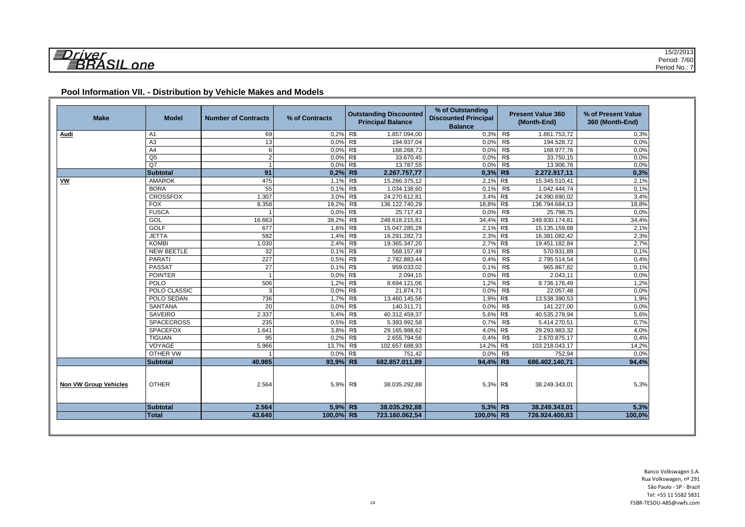| <b>Make</b>                  | <b>Model</b>      | <b>Number of Contracts</b> | % of Contracts |            | <b>Outstanding Discounted</b><br><b>Principal Balance</b> | % of Outstanding<br><b>Discounted Principal</b><br><b>Balance</b> |                | <b>Present Value 360</b><br>(Month-End) | % of Present Value<br>360 (Month-End) |
|------------------------------|-------------------|----------------------------|----------------|------------|-----------------------------------------------------------|-------------------------------------------------------------------|----------------|-----------------------------------------|---------------------------------------|
| Audi                         | A1                | 69                         | 0,2% R\$       |            | 1.857.094,00                                              | 0.3%                                                              | R\$            | 1.861.753,72                            | 0,3%                                  |
|                              | A <sub>3</sub>    | 13                         | 0,0% R\$       |            | 194.937,04                                                | 0,0%                                                              | R\$            | 194.528,72                              | 0,0%                                  |
|                              | A4                | 6                          | 0,0% R\$       |            | 168.268,73                                                | 0.0%                                                              | R\$            | 168.977,76                              | 0,0%                                  |
|                              | Q <sub>5</sub>    | $\overline{2}$             | $0.0\%$ R\$    |            | 33.670,45                                                 | 0.0%                                                              | R\$            | 33.750,15                               | 0,0%                                  |
|                              | $\overline{Q}$    |                            | 0,0% R\$       |            | 13.787,55                                                 | 0.0%                                                              | R <sub>3</sub> | 13.906,76                               | 0,0%                                  |
|                              | <b>Subtotal</b>   | 91                         | $0.2%$ R\$     |            | 2.267.757,77                                              | $0,3%$ R\$                                                        |                | 2.272.917,11                            | 0,3%                                  |
| VW                           | <b>AMAROK</b>     | 475                        | 1,1% R\$       |            | 15.266.375,12                                             | 2,1% R\$                                                          |                | 15.345.510,41                           | 2,1%                                  |
|                              | <b>BORA</b>       | 55                         | 0,1%           | R\$        | 1.034.138,60                                              | 0,1%                                                              | R\$            | 1.042.444,74                            | 0,1%                                  |
|                              | <b>CROSSFOX</b>   | 1.307                      | 3,0%           | R\$        | 24.270.612,81                                             | 3,4% R\$                                                          |                | 24.390.690,02                           | 3,4%                                  |
|                              | <b>FOX</b>        | 8.358                      | 19,2%          | R\$        | 136.122.740,29                                            | 18,8% R\$                                                         |                | 136.794.684,13                          | 18,8%                                 |
|                              | <b>FUSCA</b>      |                            | 0.0%           | R\$        | 25.717,43                                                 | 0.0%                                                              | R <sub>3</sub> | 25.798,75                               | 0.0%                                  |
|                              | GOL               | 16.663                     | 38,2%          | R\$        | 248.618.215,81                                            | 34,4% R\$                                                         |                | 249.930.174,81                          | 34,4%                                 |
|                              | <b>GOLF</b>       | 677                        | 1,6%           | R\$        | 15.047.285,28                                             | 2,1%                                                              | R\$            | 15.135.159,68                           | 2,1%                                  |
|                              | <b>JETTA</b>      | 592                        | 1,4%           | R\$        | 16.291.282,73                                             | $2,3\%$ R\$                                                       |                | 16.381.082,42                           | 2,3%                                  |
|                              | <b>KOMBI</b>      | 1.030                      | 2,4%           | R\$        | 19.365.347,20                                             | 2,7% R\$                                                          |                | 19.451.182,84                           | 2,7%                                  |
|                              | <b>NEW BEETLE</b> | 32                         | 0,1%           | R\$        | 568.157.49                                                | 0,1%                                                              | R\$            | 570.931,89                              | 0,1%                                  |
|                              | <b>PARATI</b>     | 227                        | 0,5%           | R\$        | 2.782.883,44                                              | 0,4%                                                              | R\$            | 2.795.514,54                            | 0,4%                                  |
|                              | <b>PASSAT</b>     | 27                         | 0,1%           | R\$        | 959.033,02                                                | 0,1%                                                              | R\$            | 965.867,82                              | 0,1%                                  |
|                              | <b>POINTER</b>    |                            | 0,0%           | R\$        | 2.094,15                                                  | 0,0%                                                              | R\$            | 2.043,11                                | 0,0%                                  |
|                              | <b>POLO</b>       | 506                        | 1,2%           | R\$        | 8.694.121,06                                              | 1,2%                                                              | R\$            | 8.736.176,49                            | 1,2%                                  |
|                              | POLO CLASSIC      | 3                          | 0,0% R\$       |            | 21.874,71                                                 | 0,0%                                                              | R\$            | 22.057,48                               | 0,0%                                  |
|                              | POLO SEDAN        | 736                        | 1,7% R\$       |            | 13.460.145,56                                             | 1,9% R\$                                                          |                | 13.538.390,53                           | 1,9%                                  |
|                              | <b>SANTANA</b>    | 20                         | 0,0%           | R\$        | 140.311,71                                                | 0.0%                                                              | R\$            | 141.227,00                              | 0,0%                                  |
|                              | SAVEIRO           | 2.337                      | 5,4%           | R\$        | 40.312.459,37                                             | 5,6%                                                              | R\$            | 40.535.278,94                           | 5,6%                                  |
|                              | <b>SPACECROSS</b> | 235                        | 0,5%           | R\$        | 5.393.992,58                                              | 0,7%                                                              | R\$            | 5.414.270,51                            | 0,7%                                  |
|                              | <b>SPACEFOX</b>   | 1.641                      | 3,8%           | R\$        | 29.165.988,62                                             | 4,0%                                                              | R\$            | 29.293.983,32                           | 4,0%                                  |
|                              | <b>TIGUAN</b>     | 95                         | 0,2%           | R\$        | 2.655.794,56                                              | 0.4%                                                              | R\$            | 2.670.875,17                            | 0,4%                                  |
|                              | VOYAGE            | 5.966                      | 13,7%          | <b>R\$</b> | 102.657.688,93                                            | 14,2% R\$                                                         |                | 103.218.043,17                          | 14,2%                                 |
|                              | OTHER VW          |                            | 0.0%           | R\$        | 751,42                                                    | 0.0%                                                              | R\$            | 752,94                                  | 0.0%                                  |
|                              | <b>Subtotal</b>   | 40.985                     | 93,9% R\$      |            | 682.857.011,89                                            | 94,4% R\$                                                         |                | 686.402.140,71                          | 94,4%                                 |
| <b>Non VW Group Vehicles</b> | <b>OTHER</b>      | 2.564                      | 5,9% R\$       |            | 38.035.292,88                                             | 5,3% R\$                                                          |                | 38.249.343,01                           | 5,3%                                  |
|                              | <b>Subtotal</b>   | 2.564                      | 5,9% R\$       |            | 38.035.292,88                                             | $5,3%$ R\$                                                        |                | 38.249.343,01                           | 5,3%                                  |
|                              | <b>Total</b>      | 43.640                     | 100,0% R\$     |            | 723.160.062,54                                            | $100,0\%$ R\$                                                     |                | 726.924.400,83                          | 100,0%                                |

## **Pool Information VII. - Distribution by Vehicle Makes and Models**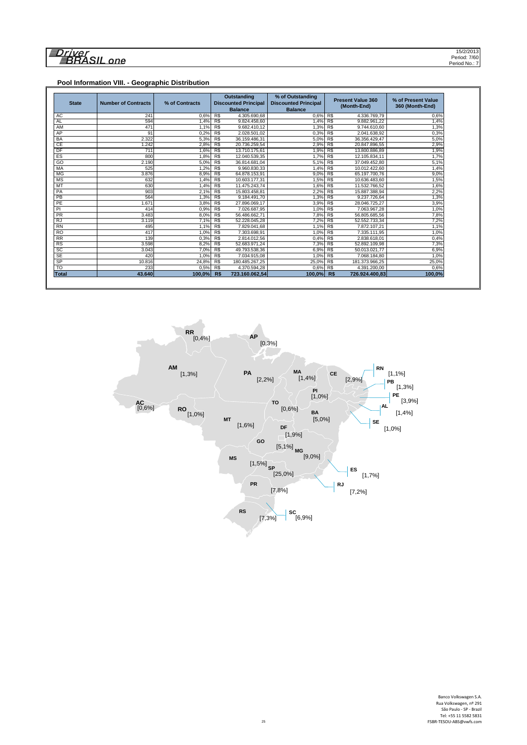# 

#### **Pool Information VIII. - Geographic Distribution**

| <b>State</b>    | <b>Number of Contracts</b> | % of Contracts | <b>Outstanding</b><br><b>Discounted Principal</b><br><b>Balance</b> |                | % of Outstanding<br><b>Discounted Principal</b><br><b>Balance</b> |                | <b>Present Value 360</b><br>(Month-End) | % of Present Value<br>360 (Month-End) |  |
|-----------------|----------------------------|----------------|---------------------------------------------------------------------|----------------|-------------------------------------------------------------------|----------------|-----------------------------------------|---------------------------------------|--|
| AC              | 241                        | 0.6%           | $R\$                                                                | 4.305.690,68   | 0.6% R\$                                                          |                | 4.336.769.79                            | 0.6%                                  |  |
| <b>AL</b>       | 594                        | 1.4%           | R\$                                                                 | 9.824.458.60   | 1.4%                                                              | R\$            | 9.882.961,22                            | 1,4%                                  |  |
| AM              | 471                        | 1.1%           | R\$                                                                 | 9.682.410,12   | 1,3%                                                              | R\$            | 9.744.610.60                            | 1,3%                                  |  |
| AP              | 91                         | 0.2%           | R\$                                                                 | 2.028.501.02   | 0,3%                                                              | R\$            | 2.041.638,92                            | 0,3%                                  |  |
| <b>BA</b>       | 2.322                      | 5.3%           | R\$                                                                 | 36.159.486.31  | 5.0%                                                              | R\$            | 36.356.429.47                           | 5.0%                                  |  |
| CE              | 1.242                      | 2.8%           | RS                                                                  | 20.736.259,54  | 2,9%                                                              | R <sub>s</sub> | 20.847.896.55                           | 2,9%                                  |  |
| DF              | 711                        | 1.6%           | R\$                                                                 | 13.710.175.61  | 1.9%                                                              | R\$            | 13.800.886.89                           | 1,9%                                  |  |
| ES              | 800                        | 1.8%           | R\$                                                                 | 12.040.539.35  | 1,7%                                                              | R\$            | 12.105.834.11                           | 1,7%                                  |  |
| GO              | 2.190                      | 5.0%           | R\$                                                                 | 36.814.681.04  | 5.1%                                                              | R\$            | 37.049.452.80                           | 5,1%                                  |  |
| MA              | 525                        | 1.2%           | R\$                                                                 | 9.960.830,33   | 1,4%                                                              | R\$            | 10.012.422,60                           | 1,4%                                  |  |
| <b>MG</b>       | 3.876                      | 8.9%           | R\$                                                                 | 64.878.153.91  | 9.0%                                                              | R\$            | 65.197.700.76                           | 9,0%                                  |  |
| <b>MS</b>       | 632                        | 1.4%           | R\$                                                                 | 10.603.177.31  | 1,5%                                                              | R\$            | 10.636.483.60                           | 1,5%                                  |  |
| MT              | 630                        | 1.4%           | R\$                                                                 | 11.475.243.74  | 1.6%                                                              | R\$            | 11.532.766.52                           | 1.6%                                  |  |
| PA              | 903                        | 2.1%           | R\$                                                                 | 15.803.458,81  | 2,2%                                                              | R\$            | 15.887.388,94                           | 2,2%                                  |  |
| PB              | 564                        | 1.3%           | R\$                                                                 | 9.184.491,70   | 1.3%                                                              | R\$            | 9.237.726.64                            | 1,3%                                  |  |
| PE              | 1.671                      | 3,8%           | R\$                                                                 | 27.896.069.17  | 3,9%                                                              | R\$            | 28.046.725.27                           | 3,9%                                  |  |
| PI              | 414                        | 0,9%           | R\$                                                                 | 7.026.687,95   | 1,0%                                                              | R\$            | 7.063.967,28                            | 1,0%                                  |  |
| <b>PR</b>       | 3.483                      | 8.0%           | R\$                                                                 | 56.486.662.71  | 7.8%                                                              | R\$            | 56.805.685.56                           | 7,8%                                  |  |
| <b>RJ</b>       | 3.119                      | 7.1%           | RS                                                                  | 52.228.045.28  | 7,2%                                                              | RS             | 52.552.733.34                           | 7,2%                                  |  |
| <b>RN</b>       | 495                        | 1.1%           | R\$                                                                 | 7.829.041.68   | 1.1%                                                              | R\$            | 7.872.107.21                            | 1.1%                                  |  |
| <b>RO</b>       | 417                        | 1.0%           | R\$                                                                 | 7.303.698.91   | 1.0%                                                              | R\$            | 7.335.111.95                            | 1,0%                                  |  |
| $\overline{RR}$ | 139                        | 0.3%           | R\$                                                                 | 2.814.012.56   | 0,4%                                                              | R\$            | 2.838.618.01                            | 0,4%                                  |  |
| <b>RS</b>       | 3.598                      | 8.2%           | R\$                                                                 | 52.683.971.24  | 7,3%                                                              | R\$            | 52.892.109.98                           | 7,3%                                  |  |
| SC              | 3.043                      | 7.0%           | RS                                                                  | 49.793.538.36  | 6.9%                                                              | RS             | 50.013.021.77                           | 6,9%                                  |  |
| <b>SE</b>       | 420                        | 1.0%           | R\$                                                                 | 7.034.915.08   | 1,0%                                                              | R\$            | 7.068.184.80                            | 1,0%                                  |  |
| SP              | 10.816                     | 24.8%          | R\$                                                                 | 180.485.267.25 | 25.0%                                                             | R\$            | 181.373.966.25                          | 25.0%                                 |  |
| T <sub>O</sub>  | 233                        | 0,5%           | R\$                                                                 | 4.370.594,28   | 0.6% R\$                                                          |                | 4.391.200.00                            | 0,6%                                  |  |
| <b>Total</b>    | 43.640                     | 100.0%         | R\$                                                                 | 723.160.062.54 | 100.0%                                                            | R\$            | 726.924.400.83                          | 100,0%                                |  |